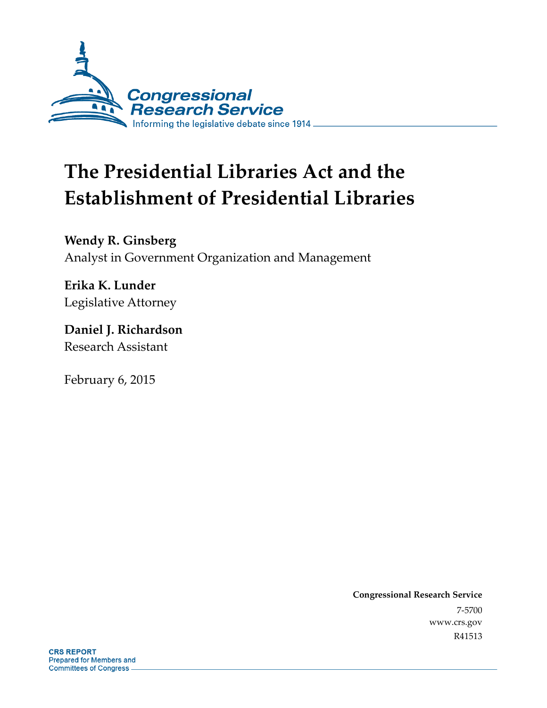

# **The Presidential Libraries Act and the Establishment of Presidential Libraries**

**Wendy R. Ginsberg**  Analyst in Government Organization and Management

**Erika K. Lunder**  Legislative Attorney

**Daniel J. Richardson**  Research Assistant

February 6, 2015

**Congressional Research Service**  7-5700 www.crs.gov R41513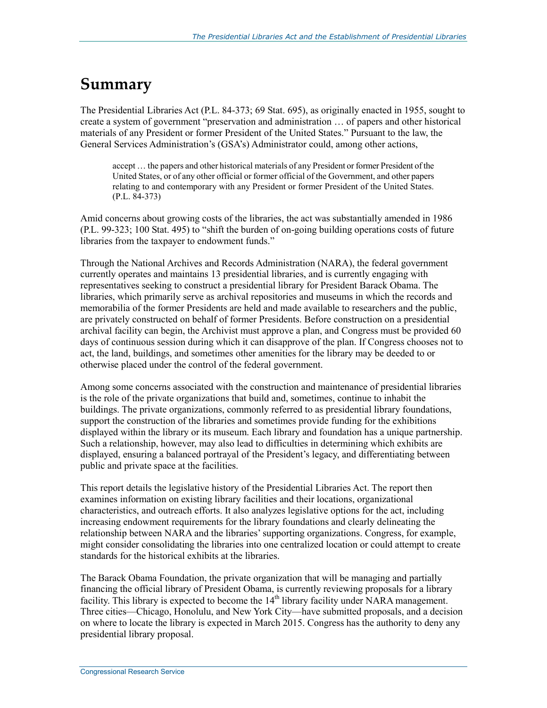### **Summary**

The Presidential Libraries Act (P.L. 84-373; 69 Stat. 695), as originally enacted in 1955, sought to create a system of government "preservation and administration … of papers and other historical materials of any President or former President of the United States." Pursuant to the law, the General Services Administration's (GSA's) Administrator could, among other actions,

accept … the papers and other historical materials of any President or former President of the United States, or of any other official or former official of the Government, and other papers relating to and contemporary with any President or former President of the United States. (P.L. 84-373)

Amid concerns about growing costs of the libraries, the act was substantially amended in 1986 (P.L. 99-323; 100 Stat. 495) to "shift the burden of on-going building operations costs of future libraries from the taxpayer to endowment funds."

Through the National Archives and Records Administration (NARA), the federal government currently operates and maintains 13 presidential libraries, and is currently engaging with representatives seeking to construct a presidential library for President Barack Obama. The libraries, which primarily serve as archival repositories and museums in which the records and memorabilia of the former Presidents are held and made available to researchers and the public, are privately constructed on behalf of former Presidents. Before construction on a presidential archival facility can begin, the Archivist must approve a plan, and Congress must be provided 60 days of continuous session during which it can disapprove of the plan. If Congress chooses not to act, the land, buildings, and sometimes other amenities for the library may be deeded to or otherwise placed under the control of the federal government.

Among some concerns associated with the construction and maintenance of presidential libraries is the role of the private organizations that build and, sometimes, continue to inhabit the buildings. The private organizations, commonly referred to as presidential library foundations, support the construction of the libraries and sometimes provide funding for the exhibitions displayed within the library or its museum. Each library and foundation has a unique partnership. Such a relationship, however, may also lead to difficulties in determining which exhibits are displayed, ensuring a balanced portrayal of the President's legacy, and differentiating between public and private space at the facilities.

This report details the legislative history of the Presidential Libraries Act. The report then examines information on existing library facilities and their locations, organizational characteristics, and outreach efforts. It also analyzes legislative options for the act, including increasing endowment requirements for the library foundations and clearly delineating the relationship between NARA and the libraries' supporting organizations. Congress, for example, might consider consolidating the libraries into one centralized location or could attempt to create standards for the historical exhibits at the libraries.

The Barack Obama Foundation, the private organization that will be managing and partially financing the official library of President Obama, is currently reviewing proposals for a library facility. This library is expected to become the  $14<sup>th</sup>$  library facility under NARA management. Three cities—Chicago, Honolulu, and New York City—have submitted proposals, and a decision on where to locate the library is expected in March 2015. Congress has the authority to deny any presidential library proposal.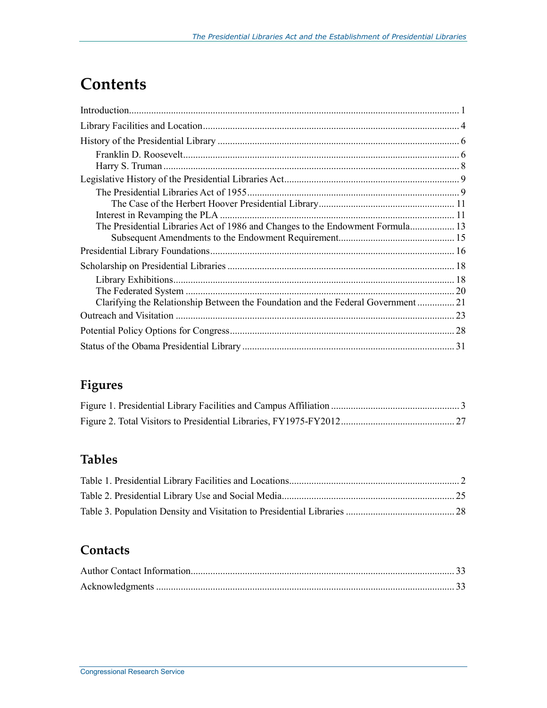## **Contents**

| The Presidential Libraries Act of 1986 and Changes to the Endowment Formula 13   |  |
|----------------------------------------------------------------------------------|--|
|                                                                                  |  |
|                                                                                  |  |
|                                                                                  |  |
|                                                                                  |  |
|                                                                                  |  |
| Clarifying the Relationship Between the Foundation and the Federal Government 21 |  |
|                                                                                  |  |
|                                                                                  |  |
|                                                                                  |  |

### **Figures**

### **Tables**

### **Contacts**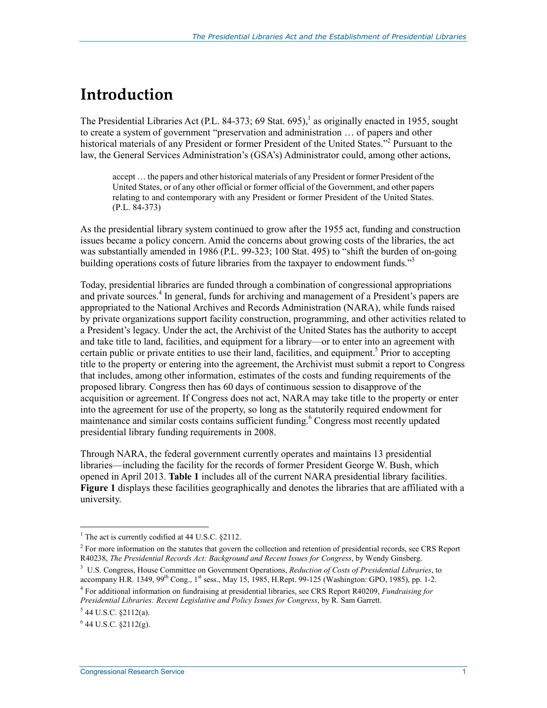## **Introduction**

The Presidential Libraries Act (P.L. 84-373; 69 Stat. 695),<sup>1</sup> as originally enacted in 1955, sought to create a system of government "preservation and administration … of papers and other historical materials of any President or former President of the United States."<sup>2</sup> Pursuant to the law, the General Services Administration's (GSA's) Administrator could, among other actions,

accept … the papers and other historical materials of any President or former President of the United States, or of any other official or former official of the Government, and other papers relating to and contemporary with any President or former President of the United States. (P.L. 84-373)

As the presidential library system continued to grow after the 1955 act, funding and construction issues became a policy concern. Amid the concerns about growing costs of the libraries, the act was substantially amended in 1986 (P.L. 99-323; 100 Stat. 495) to "shift the burden of on-going building operations costs of future libraries from the taxpayer to endowment funds."<sup>3</sup>

Today, presidential libraries are funded through a combination of congressional appropriations and private sources.<sup>4</sup> In general, funds for archiving and management of a President's papers are appropriated to the National Archives and Records Administration (NARA), while funds raised by private organizations support facility construction, programming, and other activities related to a President's legacy. Under the act, the Archivist of the United States has the authority to accept and take title to land, facilities, and equipment for a library—or to enter into an agreement with certain public or private entities to use their land, facilities, and equipment.<sup>5</sup> Prior to accepting title to the property or entering into the agreement, the Archivist must submit a report to Congress that includes, among other information, estimates of the costs and funding requirements of the proposed library. Congress then has 60 days of continuous session to disapprove of the acquisition or agreement. If Congress does not act, NARA may take title to the property or enter into the agreement for use of the property, so long as the statutorily required endowment for maintenance and similar costs contains sufficient funding.<sup>6</sup> Congress most recently updated presidential library funding requirements in 2008.

Through NARA, the federal government currently operates and maintains 13 presidential libraries—including the facility for the records of former President George W. Bush, which opened in April 2013. **Table 1** includes all of the current NARA presidential library facilities. **Figure 1** displays these facilities geographically and denotes the libraries that are affiliated with a university.

<sup>&</sup>lt;sup>1</sup> The act is currently codified at 44 U.S.C. §2112.

 $2^2$  For more information on the statutes that govern the collection and retention of presidential records, see CRS Report R40238, *The Presidential Records Act: Background and Recent Issues for Congress*, by Wendy Ginsberg.

<sup>3</sup> U.S. Congress, House Committee on Government Operations, *Reduction of Costs of Presidential Libraries*, to accompany H.R. 1349, 99<sup>th</sup> Cong., 1<sup>st</sup> sess., May 15, 1985, H.Rept. 99-125 (Washington: GPO, 1985), pp. 1-2.

<sup>4</sup> For additional information on fundraising at presidential libraries, see CRS Report R40209, *Fundraising for Presidential Libraries: Recent Legislative and Policy Issues for Congress*, by R. Sam Garrett.

 $5$  44 U.S.C. §2112(a).

 $6$  44 U.S.C. §2112(g).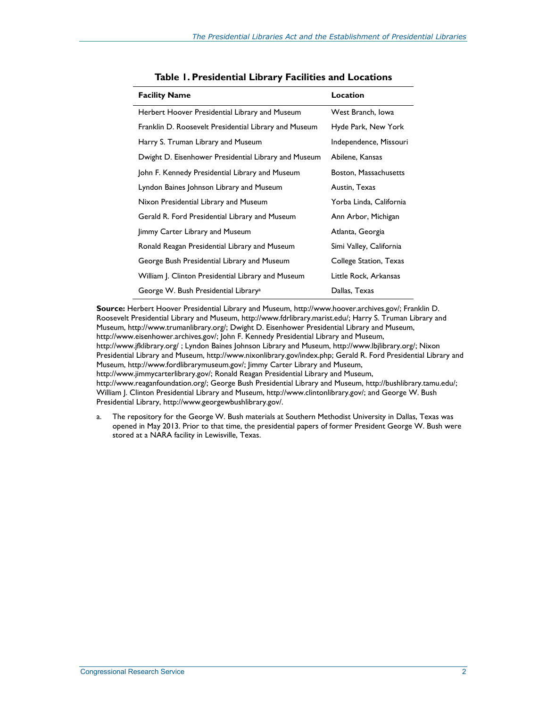| <b>Facility Name</b>                                  | Location                |  |
|-------------------------------------------------------|-------------------------|--|
| Herbert Hoover Presidential Library and Museum        | West Branch, Iowa       |  |
| Franklin D. Roosevelt Presidential Library and Museum | Hyde Park, New York     |  |
| Harry S. Truman Library and Museum                    | Independence, Missouri  |  |
| Dwight D. Eisenhower Presidential Library and Museum  | Abilene, Kansas         |  |
| John F. Kennedy Presidential Library and Museum       | Boston, Massachusetts   |  |
| Lyndon Baines Johnson Library and Museum              | Austin, Texas           |  |
| Nixon Presidential Library and Museum                 | Yorba Linda, California |  |
| Gerald R. Ford Presidential Library and Museum        | Ann Arbor, Michigan     |  |
| Jimmy Carter Library and Museum                       | Atlanta, Georgia        |  |
| Ronald Reagan Presidential Library and Museum         | Simi Valley, California |  |
| George Bush Presidential Library and Museum           | College Station, Texas  |  |
| William J. Clinton Presidential Library and Museum    | Little Rock, Arkansas   |  |
| George W. Bush Presidential Library <sup>a</sup>      | Dallas, Texas           |  |

**Source:** Herbert Hoover Presidential Library and Museum, http://www.hoover.archives.gov/; Franklin D. Roosevelt Presidential Library and Museum, http://www.fdrlibrary.marist.edu/; Harry S. Truman Library and Museum, http://www.trumanlibrary.org/; Dwight D. Eisenhower Presidential Library and Museum, http://www.eisenhower.archives.gov/; John F. Kennedy Presidential Library and Museum, http://www.jfklibrary.org/ ; Lyndon Baines Johnson Library and Museum, http://www.lbjlibrary.org/; Nixon Presidential Library and Museum, http://www.nixonlibrary.gov/index.php; Gerald R. Ford Presidential Library and Museum, http://www.fordlibrarymuseum.gov/; Jimmy Carter Library and Museum, http://www.jimmycarterlibrary.gov/; Ronald Reagan Presidential Library and Museum, http://www.reaganfoundation.org/; George Bush Presidential Library and Museum, http://bushlibrary.tamu.edu/; William J. Clinton Presidential Library and Museum, http://www.clintonlibrary.gov/; and George W. Bush Presidential Library, http://www.georgewbushlibrary.gov/.

a. The repository for the George W. Bush materials at Southern Methodist University in Dallas, Texas was opened in May 2013. Prior to that time, the presidential papers of former President George W. Bush were stored at a NARA facility in Lewisville, Texas.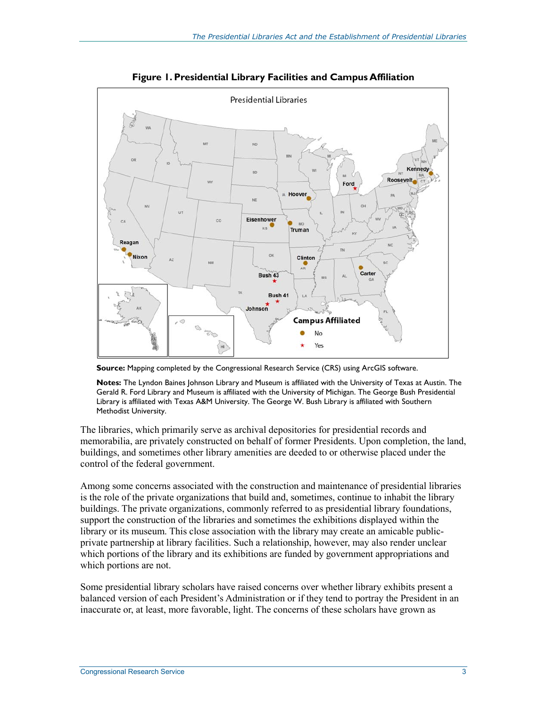

**Figure 1. Presidential Library Facilities and Campus Affiliation** 

**Source:** Mapping completed by the Congressional Research Service (CRS) using ArcGIS software.

**Notes:** The Lyndon Baines Johnson Library and Museum is affiliated with the University of Texas at Austin. The Gerald R. Ford Library and Museum is affiliated with the University of Michigan. The George Bush Presidential Library is affiliated with Texas A&M University. The George W. Bush Library is affiliated with Southern Methodist University.

The libraries, which primarily serve as archival depositories for presidential records and memorabilia, are privately constructed on behalf of former Presidents. Upon completion, the land, buildings, and sometimes other library amenities are deeded to or otherwise placed under the control of the federal government.

Among some concerns associated with the construction and maintenance of presidential libraries is the role of the private organizations that build and, sometimes, continue to inhabit the library buildings. The private organizations, commonly referred to as presidential library foundations, support the construction of the libraries and sometimes the exhibitions displayed within the library or its museum. This close association with the library may create an amicable publicprivate partnership at library facilities. Such a relationship, however, may also render unclear which portions of the library and its exhibitions are funded by government appropriations and which portions are not.

Some presidential library scholars have raised concerns over whether library exhibits present a balanced version of each President's Administration or if they tend to portray the President in an inaccurate or, at least, more favorable, light. The concerns of these scholars have grown as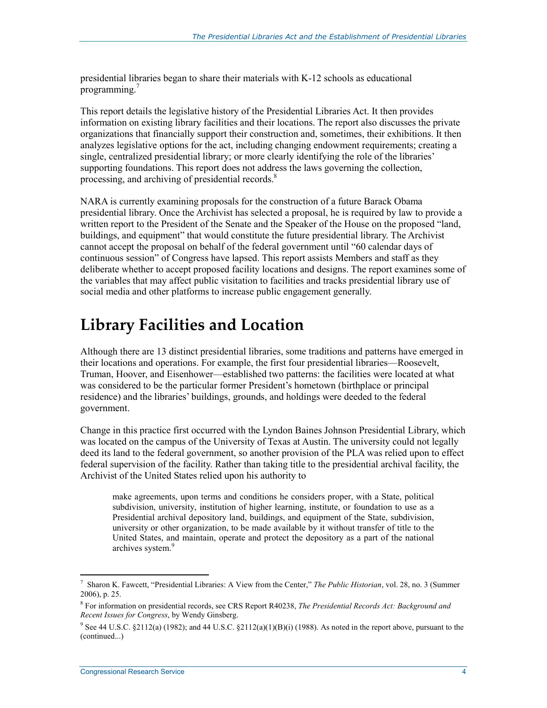presidential libraries began to share their materials with K-12 schools as educational programming.<sup>7</sup>

This report details the legislative history of the Presidential Libraries Act. It then provides information on existing library facilities and their locations. The report also discusses the private organizations that financially support their construction and, sometimes, their exhibitions. It then analyzes legislative options for the act, including changing endowment requirements; creating a single, centralized presidential library; or more clearly identifying the role of the libraries' supporting foundations. This report does not address the laws governing the collection, processing, and archiving of presidential records.<sup>8</sup>

NARA is currently examining proposals for the construction of a future Barack Obama presidential library. Once the Archivist has selected a proposal, he is required by law to provide a written report to the President of the Senate and the Speaker of the House on the proposed "land, buildings, and equipment" that would constitute the future presidential library. The Archivist cannot accept the proposal on behalf of the federal government until "60 calendar days of continuous session" of Congress have lapsed. This report assists Members and staff as they deliberate whether to accept proposed facility locations and designs. The report examines some of the variables that may affect public visitation to facilities and tracks presidential library use of social media and other platforms to increase public engagement generally.

### **Library Facilities and Location**

Although there are 13 distinct presidential libraries, some traditions and patterns have emerged in their locations and operations. For example, the first four presidential libraries—Roosevelt, Truman, Hoover, and Eisenhower—established two patterns: the facilities were located at what was considered to be the particular former President's hometown (birthplace or principal residence) and the libraries' buildings, grounds, and holdings were deeded to the federal government.

Change in this practice first occurred with the Lyndon Baines Johnson Presidential Library, which was located on the campus of the University of Texas at Austin. The university could not legally deed its land to the federal government, so another provision of the PLA was relied upon to effect federal supervision of the facility. Rather than taking title to the presidential archival facility, the Archivist of the United States relied upon his authority to

make agreements, upon terms and conditions he considers proper, with a State, political subdivision, university, institution of higher learning, institute, or foundation to use as a Presidential archival depository land, buildings, and equipment of the State, subdivision, university or other organization, to be made available by it without transfer of title to the United States, and maintain, operate and protect the depository as a part of the national archives system.<sup>9</sup>

<sup>7</sup> Sharon K. Fawcett, "Presidential Libraries: A View from the Center," *The Public Historian*, vol. 28, no. 3 (Summer 2006), p. 25.

<sup>8</sup> For information on presidential records, see CRS Report R40238, *The Presidential Records Act: Background and Recent Issues for Congress*, by Wendy Ginsberg.

<sup>&</sup>lt;sup>9</sup> See 44 U.S.C. §2112(a) (1982); and 44 U.S.C. §2112(a)(1)(B)(i) (1988). As noted in the report above, pursuant to the (continued...)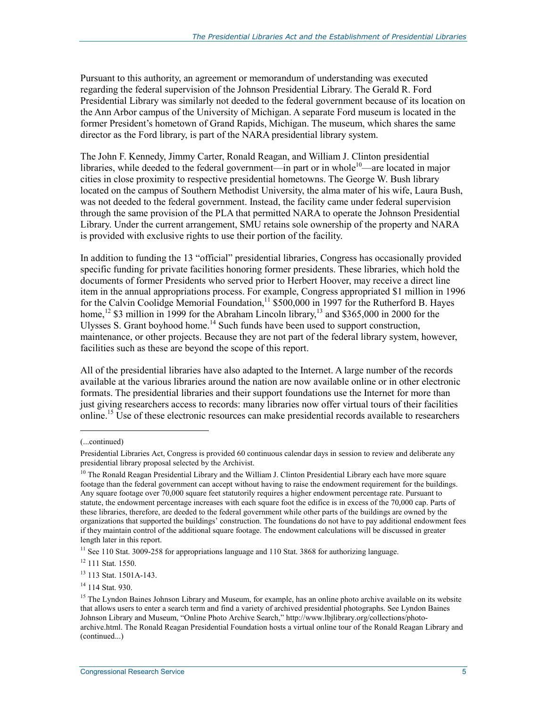Pursuant to this authority, an agreement or memorandum of understanding was executed regarding the federal supervision of the Johnson Presidential Library. The Gerald R. Ford Presidential Library was similarly not deeded to the federal government because of its location on the Ann Arbor campus of the University of Michigan. A separate Ford museum is located in the former President's hometown of Grand Rapids, Michigan. The museum, which shares the same director as the Ford library, is part of the NARA presidential library system.

The John F. Kennedy, Jimmy Carter, Ronald Reagan, and William J. Clinton presidential libraries, while deeded to the federal government—in part or in whole<sup>10</sup>—are located in major cities in close proximity to respective presidential hometowns. The George W. Bush library located on the campus of Southern Methodist University, the alma mater of his wife, Laura Bush, was not deeded to the federal government. Instead, the facility came under federal supervision through the same provision of the PLA that permitted NARA to operate the Johnson Presidential Library. Under the current arrangement, SMU retains sole ownership of the property and NARA is provided with exclusive rights to use their portion of the facility.

In addition to funding the 13 "official" presidential libraries, Congress has occasionally provided specific funding for private facilities honoring former presidents. These libraries, which hold the documents of former Presidents who served prior to Herbert Hoover, may receive a direct line item in the annual appropriations process. For example, Congress appropriated \$1 million in 1996 for the Calvin Coolidge Memorial Foundation,<sup>11</sup> \$500,000 in 1997 for the Rutherford B. Hayes home,<sup>12</sup> \$3 million in 1999 for the Abraham Lincoln library,<sup>13</sup> and \$365,000 in 2000 for the Ulysses S. Grant boyhood home.<sup>14</sup> Such funds have been used to support construction, maintenance, or other projects. Because they are not part of the federal library system, however, facilities such as these are beyond the scope of this report.

All of the presidential libraries have also adapted to the Internet. A large number of the records available at the various libraries around the nation are now available online or in other electronic formats. The presidential libraries and their support foundations use the Internet for more than just giving researchers access to records: many libraries now offer virtual tours of their facilities online.<sup>15</sup> Use of these electronic resources can make presidential records available to researchers

 $\overline{a}$ 

<sup>(...</sup>continued)

Presidential Libraries Act, Congress is provided 60 continuous calendar days in session to review and deliberate any presidential library proposal selected by the Archivist.

<sup>&</sup>lt;sup>10</sup> The Ronald Reagan Presidential Library and the William J. Clinton Presidential Library each have more square footage than the federal government can accept without having to raise the endowment requirement for the buildings. Any square footage over 70,000 square feet statutorily requires a higher endowment percentage rate. Pursuant to statute, the endowment percentage increases with each square foot the edifice is in excess of the 70,000 cap. Parts of these libraries, therefore, are deeded to the federal government while other parts of the buildings are owned by the organizations that supported the buildings' construction. The foundations do not have to pay additional endowment fees if they maintain control of the additional square footage. The endowment calculations will be discussed in greater length later in this report.

<sup>&</sup>lt;sup>11</sup> See 110 Stat. 3009-258 for appropriations language and 110 Stat. 3868 for authorizing language.

<sup>&</sup>lt;sup>12</sup> 111 Stat. 1550.

<sup>13 113</sup> Stat. 1501A-143.

<sup>&</sup>lt;sup>14</sup> 114 Stat. 930.

<sup>&</sup>lt;sup>15</sup> The Lyndon Baines Johnson Library and Museum, for example, has an online photo archive available on its website that allows users to enter a search term and find a variety of archived presidential photographs. See Lyndon Baines Johnson Library and Museum, "Online Photo Archive Search," http://www.lbjlibrary.org/collections/photoarchive.html. The Ronald Reagan Presidential Foundation hosts a virtual online tour of the Ronald Reagan Library and (continued...)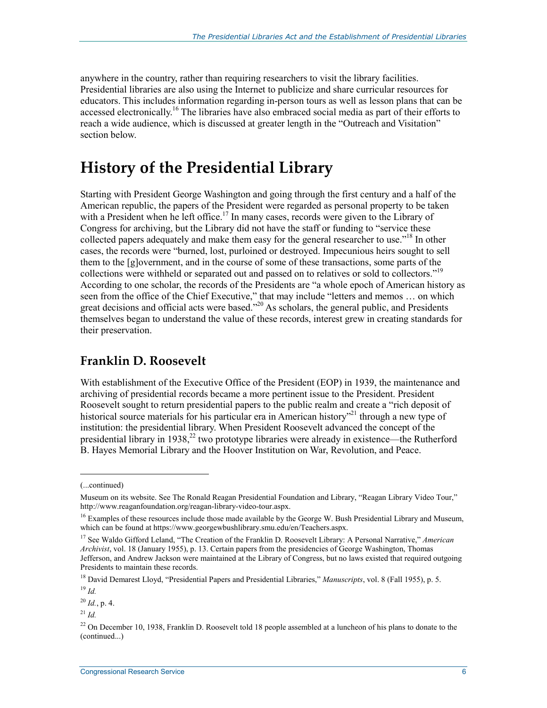anywhere in the country, rather than requiring researchers to visit the library facilities. Presidential libraries are also using the Internet to publicize and share curricular resources for educators. This includes information regarding in-person tours as well as lesson plans that can be accessed electronically.<sup>16</sup> The libraries have also embraced social media as part of their efforts to reach a wide audience, which is discussed at greater length in the "Outreach and Visitation" section below.

### **History of the Presidential Library**

Starting with President George Washington and going through the first century and a half of the American republic, the papers of the President were regarded as personal property to be taken with a President when he left office.<sup>17</sup> In many cases, records were given to the Library of Congress for archiving, but the Library did not have the staff or funding to "service these collected papers adequately and make them easy for the general researcher to use."<sup>18</sup> In other cases, the records were "burned, lost, purloined or destroyed. Impecunious heirs sought to sell them to the [g]overnment, and in the course of some of these transactions, some parts of the collections were withheld or separated out and passed on to relatives or sold to collectors."<sup>19</sup> According to one scholar, the records of the Presidents are "a whole epoch of American history as seen from the office of the Chief Executive," that may include "letters and memos … on which great decisions and official acts were based."<sup>20</sup> As scholars, the general public, and Presidents themselves began to understand the value of these records, interest grew in creating standards for their preservation.

#### **Franklin D. Roosevelt**

With establishment of the Executive Office of the President (EOP) in 1939, the maintenance and archiving of presidential records became a more pertinent issue to the President. President Roosevelt sought to return presidential papers to the public realm and create a "rich deposit of historical source materials for his particular era in American history"<sup>21</sup> through a new type of institution: the presidential library. When President Roosevelt advanced the concept of the presidential library in 1938,<sup>22</sup> two prototype libraries were already in existence—the Rutherford B. Hayes Memorial Library and the Hoover Institution on War, Revolution, and Peace.

 $\overline{a}$ 

<sup>(...</sup>continued)

Museum on its website. See The Ronald Reagan Presidential Foundation and Library, "Reagan Library Video Tour," http://www.reaganfoundation.org/reagan-library-video-tour.aspx.

<sup>&</sup>lt;sup>16</sup> Examples of these resources include those made available by the George W. Bush Presidential Library and Museum, which can be found at https://www.georgewbushlibrary.smu.edu/en/Teachers.aspx.

<sup>17</sup> See Waldo Gifford Leland, "The Creation of the Franklin D. Roosevelt Library: A Personal Narrative," *American Archivist*, vol. 18 (January 1955), p. 13. Certain papers from the presidencies of George Washington, Thomas Jefferson, and Andrew Jackson were maintained at the Library of Congress, but no laws existed that required outgoing Presidents to maintain these records.

<sup>18</sup> David Demarest Lloyd, "Presidential Papers and Presidential Libraries," *Manuscripts*, vol. 8 (Fall 1955), p. 5.

<sup>19</sup> *Id.*

<sup>20</sup> *Id.*, p. 4.

 $^{21}$  *Id.* 

<sup>&</sup>lt;sup>22</sup> On December 10, 1938, Franklin D. Roosevelt told 18 people assembled at a luncheon of his plans to donate to the (continued...)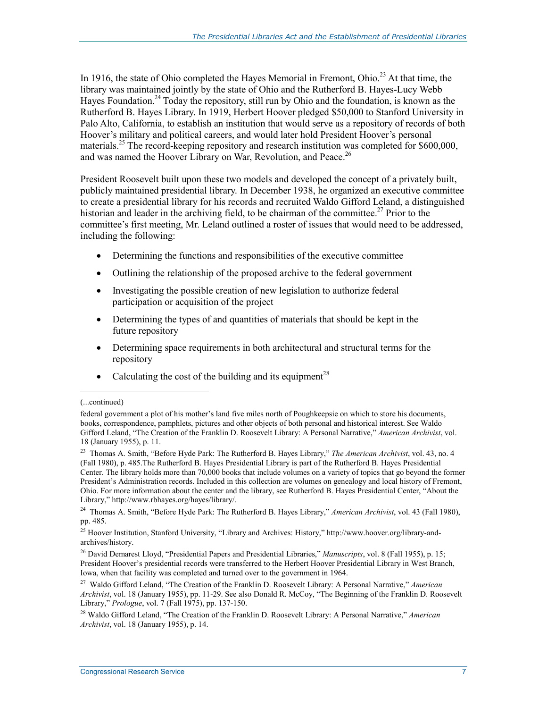In 1916, the state of Ohio completed the Hayes Memorial in Fremont, Ohio.<sup>23</sup> At that time, the library was maintained jointly by the state of Ohio and the Rutherford B. Hayes-Lucy Webb Hayes Foundation.<sup>24</sup> Today the repository, still run by Ohio and the foundation, is known as the Rutherford B. Hayes Library. In 1919, Herbert Hoover pledged \$50,000 to Stanford University in Palo Alto, California, to establish an institution that would serve as a repository of records of both Hoover's military and political careers, and would later hold President Hoover's personal materials.<sup>25</sup> The record-keeping repository and research institution was completed for \$600,000, and was named the Hoover Library on War, Revolution, and Peace.<sup>26</sup>

President Roosevelt built upon these two models and developed the concept of a privately built, publicly maintained presidential library. In December 1938, he organized an executive committee to create a presidential library for his records and recruited Waldo Gifford Leland, a distinguished historian and leader in the archiving field, to be chairman of the committee.<sup>27</sup> Prior to the committee's first meeting, Mr. Leland outlined a roster of issues that would need to be addressed, including the following:

- Determining the functions and responsibilities of the executive committee
- Outlining the relationship of the proposed archive to the federal government
- Investigating the possible creation of new legislation to authorize federal participation or acquisition of the project
- Determining the types of and quantities of materials that should be kept in the future repository
- Determining space requirements in both architectural and structural terms for the repository
- Calculating the cost of the building and its equipment<sup>28</sup>

1

23 Thomas A. Smith, "Before Hyde Park: The Rutherford B. Hayes Library," *The American Archivist*, vol. 43, no. 4 (Fall 1980), p. 485.The Rutherford B. Hayes Presidential Library is part of the Rutherford B. Hayes Presidential Center. The library holds more than 70,000 books that include volumes on a variety of topics that go beyond the former President's Administration records. Included in this collection are volumes on genealogy and local history of Fremont, Ohio. For more information about the center and the library, see Rutherford B. Hayes Presidential Center, "About the Library," http://www.rbhayes.org/hayes/library/.

<sup>(...</sup>continued)

federal government a plot of his mother's land five miles north of Poughkeepsie on which to store his documents, books, correspondence, pamphlets, pictures and other objects of both personal and historical interest. See Waldo Gifford Leland, "The Creation of the Franklin D. Roosevelt Library: A Personal Narrative," *American Archivist*, vol. 18 (January 1955), p. 11.

<sup>24</sup> Thomas A. Smith, "Before Hyde Park: The Rutherford B. Hayes Library," *American Archivist*, vol. 43 (Fall 1980), pp. 485.

<sup>&</sup>lt;sup>25</sup> Hoover Institution, Stanford University, "Library and Archives: History," http://www.hoover.org/library-andarchives/history.

<sup>26</sup> David Demarest Lloyd, "Presidential Papers and Presidential Libraries," *Manuscripts*, vol. 8 (Fall 1955), p. 15; President Hoover's presidential records were transferred to the Herbert Hoover Presidential Library in West Branch, Iowa, when that facility was completed and turned over to the government in 1964.

<sup>27</sup> Waldo Gifford Leland, "The Creation of the Franklin D. Roosevelt Library: A Personal Narrative," *American Archivist*, vol. 18 (January 1955), pp. 11-29. See also Donald R. McCoy, "The Beginning of the Franklin D. Roosevelt Library," *Prologue*, vol. 7 (Fall 1975), pp. 137-150.

<sup>28</sup> Waldo Gifford Leland, "The Creation of the Franklin D. Roosevelt Library: A Personal Narrative," *American Archivist*, vol. 18 (January 1955), p. 14.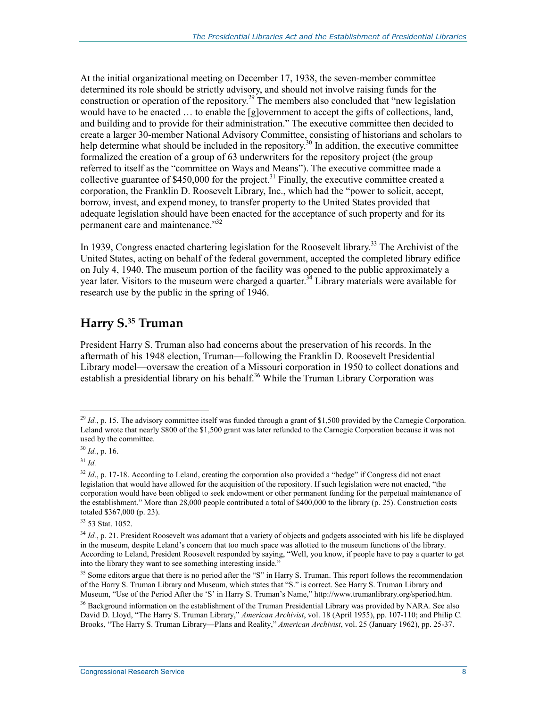At the initial organizational meeting on December 17, 1938, the seven-member committee determined its role should be strictly advisory, and should not involve raising funds for the construction or operation of the repository.<sup>29</sup> The members also concluded that "new legislation" would have to be enacted ... to enable the [g]overnment to accept the gifts of collections, land, and building and to provide for their administration." The executive committee then decided to create a larger 30-member National Advisory Committee, consisting of historians and scholars to help determine what should be included in the repository.<sup>30</sup> In addition, the executive committee formalized the creation of a group of 63 underwriters for the repository project (the group referred to itself as the "committee on Ways and Means"). The executive committee made a collective guarantee of  $$450,000$  for the project.<sup>31</sup> Finally, the executive committee created a corporation, the Franklin D. Roosevelt Library, Inc., which had the "power to solicit, accept, borrow, invest, and expend money, to transfer property to the United States provided that adequate legislation should have been enacted for the acceptance of such property and for its permanent care and maintenance."32

In 1939, Congress enacted chartering legislation for the Roosevelt library.<sup>33</sup> The Archivist of the United States, acting on behalf of the federal government, accepted the completed library edifice on July 4, 1940. The museum portion of the facility was opened to the public approximately a year later. Visitors to the museum were charged a quarter.<sup>34</sup> Library materials were available for research use by the public in the spring of 1946.

#### **Harry S.35 Truman**

President Harry S. Truman also had concerns about the preservation of his records. In the aftermath of his 1948 election, Truman—following the Franklin D. Roosevelt Presidential Library model—oversaw the creation of a Missouri corporation in 1950 to collect donations and establish a presidential library on his behalf.<sup>36</sup> While the Truman Library Corporation was

<sup>&</sup>lt;u>.</u> <sup>29</sup> *Id.*, p. 15. The advisory committee itself was funded through a grant of \$1,500 provided by the Carnegie Corporation. Leland wrote that nearly \$800 of the \$1,500 grant was later refunded to the Carnegie Corporation because it was not used by the committee.

 $30$  *Id.*, p. 16.

<sup>31</sup> *Id.*

<sup>&</sup>lt;sup>32</sup> *Id.*, p. 17-18. According to Leland, creating the corporation also provided a "hedge" if Congress did not enact legislation that would have allowed for the acquisition of the repository. If such legislation were not enacted, "the corporation would have been obliged to seek endowment or other permanent funding for the perpetual maintenance of the establishment." More than 28,000 people contributed a total of \$400,000 to the library (p. 25). Construction costs totaled \$367,000 (p. 23).

<sup>33 53</sup> Stat. 1052.

<sup>&</sup>lt;sup>34</sup> *Id.*, p. 21. President Roosevelt was adamant that a variety of objects and gadgets associated with his life be displayed in the museum, despite Leland's concern that too much space was allotted to the museum functions of the library. According to Leland, President Roosevelt responded by saying, "Well, you know, if people have to pay a quarter to get into the library they want to see something interesting inside."

<sup>&</sup>lt;sup>35</sup> Some editors argue that there is no period after the "S" in Harry S. Truman. This report follows the recommendation of the Harry S. Truman Library and Museum, which states that "S." is correct. See Harry S. Truman Library and Museum, "Use of the Period After the 'S' in Harry S. Truman's Name," http://www.trumanlibrary.org/speriod.htm.

<sup>&</sup>lt;sup>36</sup> Background information on the establishment of the Truman Presidential Library was provided by NARA. See also David D. Lloyd, "The Harry S. Truman Library," *American Archivist*, vol. 18 (April 1955), pp. 107-110; and Philip C. Brooks, "The Harry S. Truman Library—Plans and Reality," *American Archivist*, vol. 25 (January 1962), pp. 25-37.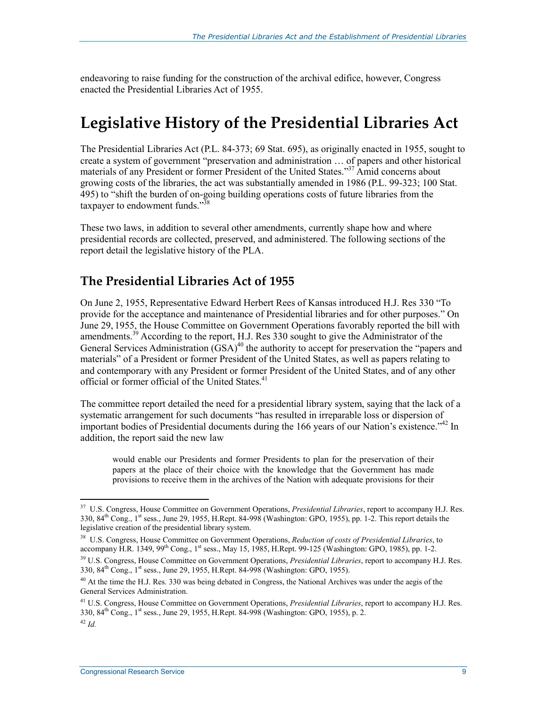endeavoring to raise funding for the construction of the archival edifice, however, Congress enacted the Presidential Libraries Act of 1955.

### **Legislative History of the Presidential Libraries Act**

The Presidential Libraries Act (P.L. 84-373; 69 Stat. 695), as originally enacted in 1955, sought to create a system of government "preservation and administration … of papers and other historical materials of any President or former President of the United States."37 Amid concerns about growing costs of the libraries, the act was substantially amended in 1986 (P.L. 99-323; 100 Stat. 495) to "shift the burden of on-going building operations costs of future libraries from the taxpayer to endowment funds."<sup>38</sup>

These two laws, in addition to several other amendments, currently shape how and where presidential records are collected, preserved, and administered. The following sections of the report detail the legislative history of the PLA.

#### **The Presidential Libraries Act of 1955**

On June 2, 1955, Representative Edward Herbert Rees of Kansas introduced H.J. Res 330 "To provide for the acceptance and maintenance of Presidential libraries and for other purposes." On June 29, 1955, the House Committee on Government Operations favorably reported the bill with amendments.<sup>39</sup> According to the report, H.J. Res 330 sought to give the Administrator of the General Services Administration  $(GSA)^{40}$  the authority to accept for preservation the "papers and materials" of a President or former President of the United States, as well as papers relating to and contemporary with any President or former President of the United States, and of any other official or former official of the United States.<sup>41</sup>

The committee report detailed the need for a presidential library system, saying that the lack of a systematic arrangement for such documents "has resulted in irreparable loss or dispersion of important bodies of Presidential documents during the 166 years of our Nation's existence.<sup>142</sup> In addition, the report said the new law

would enable our Presidents and former Presidents to plan for the preservation of their papers at the place of their choice with the knowledge that the Government has made provisions to receive them in the archives of the Nation with adequate provisions for their

<sup>37</sup> U.S. Congress, House Committee on Government Operations, *Presidential Libraries*, report to accompany H.J. Res. 330,  $84<sup>th</sup>$  Cong.,  $1<sup>st</sup>$  sess., June 29, 1955, H.Rept. 84-998 (Washington: GPO, 1955), pp. 1-2. This report details the legislative creation of the presidential library system.

<sup>38</sup> U.S. Congress, House Committee on Government Operations, *Reduction of costs of Presidential Libraries*, to accompany H.R. 1349, 99<sup>th</sup> Cong., 1<sup>st</sup> sess., May 15, 1985, H.Rept. 99-125 (Washington: GPO, 1985), pp. 1-2.

<sup>39</sup> U.S. Congress, House Committee on Government Operations, *Presidential Libraries*, report to accompany H.J. Res. 330, 84<sup>th</sup> Cong., 1<sup>st</sup> sess., June 29, 1955, H.Rept. 84-998 (Washington: GPO, 1955).

<sup>&</sup>lt;sup>40</sup> At the time the H.J. Res. 330 was being debated in Congress, the National Archives was under the aegis of the General Services Administration.

<sup>41</sup> U.S. Congress, House Committee on Government Operations, *Presidential Libraries*, report to accompany H.J. Res. 330, 84<sup>th</sup> Cong., 1<sup>st</sup> sess., June 29, 1955, H.Rept. 84-998 (Washington: GPO, 1955), p. 2.

<sup>42</sup> *Id.*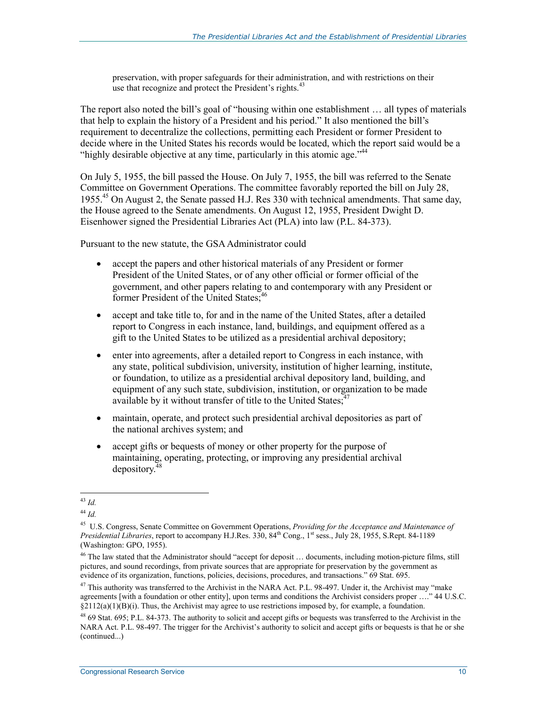preservation, with proper safeguards for their administration, and with restrictions on their use that recognize and protect the President's rights.<sup>43</sup>

The report also noted the bill's goal of "housing within one establishment … all types of materials that help to explain the history of a President and his period." It also mentioned the bill's requirement to decentralize the collections, permitting each President or former President to decide where in the United States his records would be located, which the report said would be a "highly desirable objective at any time, particularly in this atomic age."  $44$ 

On July 5, 1955, the bill passed the House. On July 7, 1955, the bill was referred to the Senate Committee on Government Operations. The committee favorably reported the bill on July 28, 1955.45 On August 2, the Senate passed H.J. Res 330 with technical amendments. That same day, the House agreed to the Senate amendments. On August 12, 1955, President Dwight D. Eisenhower signed the Presidential Libraries Act (PLA) into law (P.L. 84-373).

Pursuant to the new statute, the GSA Administrator could

- accept the papers and other historical materials of any President or former President of the United States, or of any other official or former official of the government, and other papers relating to and contemporary with any President or former President of the United States;<sup>46</sup>
- accept and take title to, for and in the name of the United States, after a detailed report to Congress in each instance, land, buildings, and equipment offered as a gift to the United States to be utilized as a presidential archival depository;
- enter into agreements, after a detailed report to Congress in each instance, with any state, political subdivision, university, institution of higher learning, institute, or foundation, to utilize as a presidential archival depository land, building, and equipment of any such state, subdivision, institution, or organization to be made available by it without transfer of title to the United States; $47$
- maintain, operate, and protect such presidential archival depositories as part of the national archives system; and
- accept gifts or bequests of money or other property for the purpose of maintaining, operating, protecting, or improving any presidential archival depository. $4$

<sup>&</sup>lt;u>.</u> <sup>43</sup> *Id.*

<sup>44</sup> *Id.*

<sup>45</sup> U.S. Congress, Senate Committee on Government Operations, *Providing for the Acceptance and Maintenance of Presidential Libraries*, report to accompany H.J.Res. 330, 84<sup>th</sup> Cong., 1<sup>st</sup> sess., July 28, 1955, S.Rept. 84-1189 (Washington: GPO, 1955).

<sup>&</sup>lt;sup>46</sup> The law stated that the Administrator should "accept for deposit ... documents, including motion-picture films, still pictures, and sound recordings, from private sources that are appropriate for preservation by the government as evidence of its organization, functions, policies, decisions, procedures, and transactions." 69 Stat. 695.

<sup>&</sup>lt;sup>47</sup> This authority was transferred to the Archivist in the NARA Act. P.L. 98-497. Under it, the Archivist may "make agreements [with a foundation or other entity], upon terms and conditions the Archivist considers proper …." 44 U.S.C.  $\S2112(a)(1)(B)(i)$ . Thus, the Archivist may agree to use restrictions imposed by, for example, a foundation.

 $^{48}$  69 Stat. 695; P.L. 84-373. The authority to solicit and accept gifts or bequests was transferred to the Archivist in the NARA Act. P.L. 98-497. The trigger for the Archivist's authority to solicit and accept gifts or bequests is that he or she (continued...)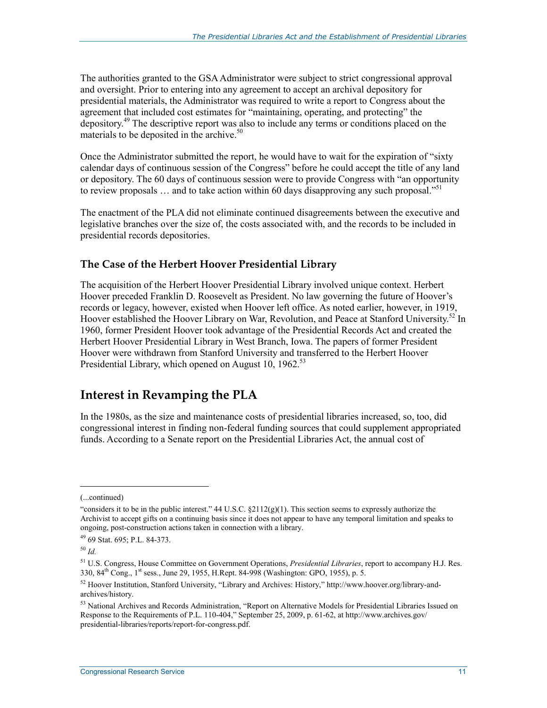The authorities granted to the GSA Administrator were subject to strict congressional approval and oversight. Prior to entering into any agreement to accept an archival depository for presidential materials, the Administrator was required to write a report to Congress about the agreement that included cost estimates for "maintaining, operating, and protecting" the depository.49 The descriptive report was also to include any terms or conditions placed on the materials to be deposited in the archive.<sup>50</sup>

Once the Administrator submitted the report, he would have to wait for the expiration of "sixty calendar days of continuous session of the Congress" before he could accept the title of any land or depository. The 60 days of continuous session were to provide Congress with "an opportunity to review proposals  $\ldots$  and to take action within 60 days disapproving any such proposal."<sup>51</sup>

The enactment of the PLA did not eliminate continued disagreements between the executive and legislative branches over the size of, the costs associated with, and the records to be included in presidential records depositories.

#### **The Case of the Herbert Hoover Presidential Library**

The acquisition of the Herbert Hoover Presidential Library involved unique context. Herbert Hoover preceded Franklin D. Roosevelt as President. No law governing the future of Hoover's records or legacy, however, existed when Hoover left office. As noted earlier, however, in 1919, Hoover established the Hoover Library on War, Revolution, and Peace at Stanford University.<sup>52</sup> In 1960, former President Hoover took advantage of the Presidential Records Act and created the Herbert Hoover Presidential Library in West Branch, Iowa. The papers of former President Hoover were withdrawn from Stanford University and transferred to the Herbert Hoover Presidential Library, which opened on August 10, 1962.<sup>53</sup>

#### **Interest in Revamping the PLA**

In the 1980s, as the size and maintenance costs of presidential libraries increased, so, too, did congressional interest in finding non-federal funding sources that could supplement appropriated funds. According to a Senate report on the Presidential Libraries Act, the annual cost of

<sup>(...</sup>continued)

<sup>&</sup>quot;considers it to be in the public interest." 44 U.S.C.  $\S2112(g)(1)$ . This section seems to expressly authorize the Archivist to accept gifts on a continuing basis since it does not appear to have any temporal limitation and speaks to ongoing, post-construction actions taken in connection with a library.

<sup>49 69</sup> Stat. 695; P.L. 84-373.

<sup>50</sup> *Id.*

<sup>51</sup> U.S. Congress, House Committee on Government Operations, *Presidential Libraries*, report to accompany H.J. Res. 330, 84th Cong., 1st sess., June 29, 1955, H.Rept. 84-998 (Washington: GPO, 1955), p. 5.

 $52$  Hoover Institution, Stanford University, "Library and Archives: History," http://www.hoover.org/library-andarchives/history.

<sup>53</sup> National Archives and Records Administration, "Report on Alternative Models for Presidential Libraries Issued on Response to the Requirements of P.L. 110-404," September 25, 2009, p. 61-62, at http://www.archives.gov/ presidential-libraries/reports/report-for-congress.pdf.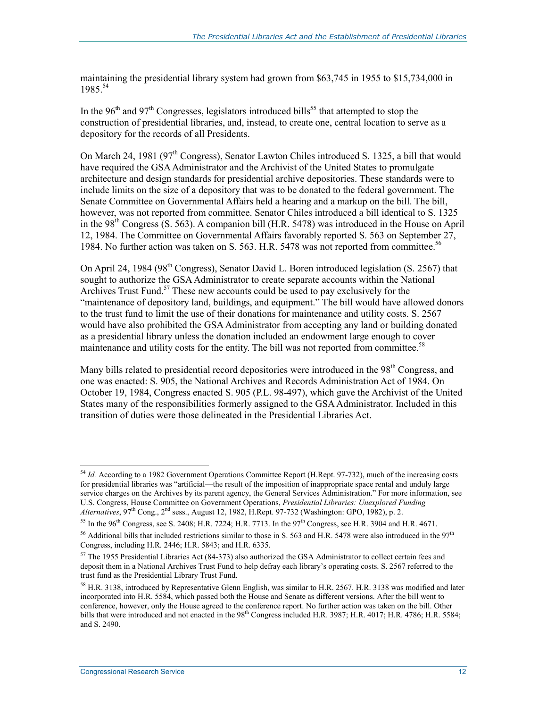maintaining the presidential library system had grown from \$63,745 in 1955 to \$15,734,000 in 1985.54

In the 96<sup>th</sup> and 97<sup>th</sup> Congresses, legislators introduced bills<sup>55</sup> that attempted to stop the construction of presidential libraries, and, instead, to create one, central location to serve as a depository for the records of all Presidents.

On March 24, 1981 (97<sup>th</sup> Congress), Senator Lawton Chiles introduced S. 1325, a bill that would have required the GSA Administrator and the Archivist of the United States to promulgate architecture and design standards for presidential archive depositories. These standards were to include limits on the size of a depository that was to be donated to the federal government. The Senate Committee on Governmental Affairs held a hearing and a markup on the bill. The bill, however, was not reported from committee. Senator Chiles introduced a bill identical to S. 1325 in the  $98<sup>th</sup>$  Congress (S. 563). A companion bill (H.R. 5478) was introduced in the House on April 12, 1984. The Committee on Governmental Affairs favorably reported S. 563 on September 27, 1984. No further action was taken on S. 563. H.R. 5478 was not reported from committee.<sup>56</sup>

On April 24, 1984 (98<sup>th</sup> Congress), Senator David L. Boren introduced legislation (S. 2567) that sought to authorize the GSA Administrator to create separate accounts within the National Archives Trust Fund.<sup>57</sup> These new accounts could be used to pay exclusively for the "maintenance of depository land, buildings, and equipment." The bill would have allowed donors to the trust fund to limit the use of their donations for maintenance and utility costs. S. 2567 would have also prohibited the GSA Administrator from accepting any land or building donated as a presidential library unless the donation included an endowment large enough to cover maintenance and utility costs for the entity. The bill was not reported from committee.<sup>58</sup>

Many bills related to presidential record depositories were introduced in the  $98<sup>th</sup>$  Congress, and one was enacted: S. 905, the National Archives and Records Administration Act of 1984. On October 19, 1984, Congress enacted S. 905 (P.L. 98-497), which gave the Archivist of the United States many of the responsibilities formerly assigned to the GSA Administrator. Included in this transition of duties were those delineated in the Presidential Libraries Act.

<sup>&</sup>lt;sup>54</sup> *Id.* According to a 1982 Government Operations Committee Report (H.Rept. 97-732), much of the increasing costs for presidential libraries was "artificial—the result of the imposition of inappropriate space rental and unduly large service charges on the Archives by its parent agency, the General Services Administration." For more information, see U.S. Congress, House Committee on Government Operations, *Presidential Libraries: Unexplored Funding Alternatives*, 97th Cong., 2nd sess., August 12, 1982, H.Rept. 97-732 (Washington: GPO, 1982), p. 2.

<sup>&</sup>lt;sup>55</sup> In the 96<sup>th</sup> Congress, see S. 2408; H.R. 7224; H.R. 7713. In the 97<sup>th</sup> Congress, see H.R. 3904 and H.R. 4671.

<sup>&</sup>lt;sup>56</sup> Additional bills that included restrictions similar to those in S. 563 and H.R. 5478 were also introduced in the  $97<sup>th</sup>$ Congress, including H.R. 2446; H.R. 5843; and H.R. 6335.

 $57$  The 1955 Presidential Libraries Act (84-373) also authorized the GSA Administrator to collect certain fees and deposit them in a National Archives Trust Fund to help defray each library's operating costs. S. 2567 referred to the trust fund as the Presidential Library Trust Fund.

<sup>&</sup>lt;sup>58</sup> H.R. 3138, introduced by Representative Glenn English, was similar to H.R. 2567. H.R. 3138 was modified and later incorporated into H.R. 5584, which passed both the House and Senate as different versions. After the bill went to conference, however, only the House agreed to the conference report. No further action was taken on the bill. Other bills that were introduced and not enacted in the 98<sup>th</sup> Congress included H.R. 3987; H.R. 4017; H.R. 4786; H.R. 5584; and S. 2490.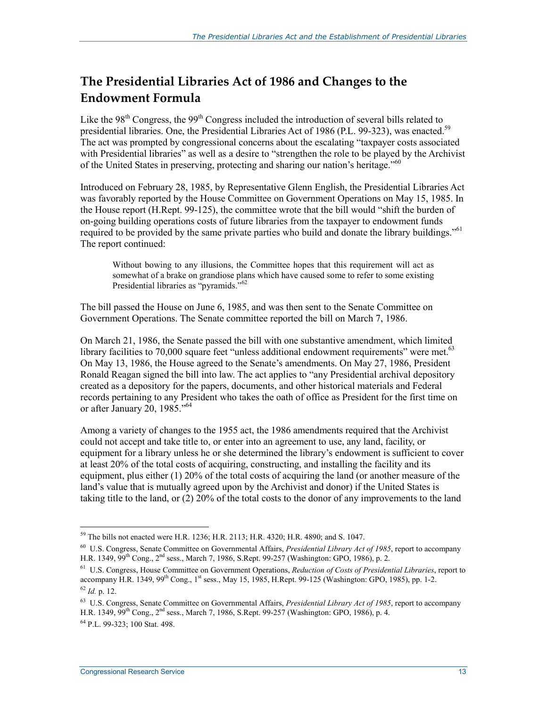#### **The Presidential Libraries Act of 1986 and Changes to the Endowment Formula**

Like the  $98<sup>th</sup>$  Congress, the  $99<sup>th</sup>$  Congress included the introduction of several bills related to presidential libraries. One, the Presidential Libraries Act of 1986 (P.L. 99-323), was enacted.<sup>59</sup> The act was prompted by congressional concerns about the escalating "taxpayer costs associated with Presidential libraries" as well as a desire to "strengthen the role to be played by the Archivist of the United States in preserving, protecting and sharing our nation's heritage."60

Introduced on February 28, 1985, by Representative Glenn English, the Presidential Libraries Act was favorably reported by the House Committee on Government Operations on May 15, 1985. In the House report (H.Rept. 99-125), the committee wrote that the bill would "shift the burden of on-going building operations costs of future libraries from the taxpayer to endowment funds required to be provided by the same private parties who build and donate the library buildings."<sup>61</sup> The report continued:

Without bowing to any illusions, the Committee hopes that this requirement will act as somewhat of a brake on grandiose plans which have caused some to refer to some existing Presidential libraries as "pyramids."<sup>62</sup>

The bill passed the House on June 6, 1985, and was then sent to the Senate Committee on Government Operations. The Senate committee reported the bill on March 7, 1986.

On March 21, 1986, the Senate passed the bill with one substantive amendment, which limited library facilities to  $70,000$  square feet "unless additional endowment requirements" were met.<sup>63</sup> On May 13, 1986, the House agreed to the Senate's amendments. On May 27, 1986, President Ronald Reagan signed the bill into law. The act applies to "any Presidential archival depository created as a depository for the papers, documents, and other historical materials and Federal records pertaining to any President who takes the oath of office as President for the first time on or after January 20, 1985."64

Among a variety of changes to the 1955 act, the 1986 amendments required that the Archivist could not accept and take title to, or enter into an agreement to use, any land, facility, or equipment for a library unless he or she determined the library's endowment is sufficient to cover at least 20% of the total costs of acquiring, constructing, and installing the facility and its equipment, plus either (1) 20% of the total costs of acquiring the land (or another measure of the land's value that is mutually agreed upon by the Archivist and donor) if the United States is taking title to the land, or (2) 20% of the total costs to the donor of any improvements to the land

<sup>59</sup> The bills not enacted were H.R. 1236; H.R. 2113; H.R. 4320; H.R. 4890; and S. 1047.

<sup>60</sup> U.S. Congress, Senate Committee on Governmental Affairs, *Presidential Library Act of 1985*, report to accompany H.R. 1349, 99<sup>th</sup> Cong., 2<sup>nd</sup> sess., March 7, 1986, S.Rept. 99-257 (Washington: GPO, 1986), p. 2.

<sup>61</sup> U.S. Congress, House Committee on Government Operations, *Reduction of Costs of Presidential Libraries*, report to accompany H.R. 1349, 99<sup>th</sup> Cong., 1<sup>st</sup> sess., May 15, 1985, H.Rept. 99-125 (Washington: GPO, 1985), pp. 1-2.  $^{62}$  *Id.* p. 12.

<sup>63</sup> U.S. Congress, Senate Committee on Governmental Affairs, *Presidential Library Act of 1985*, report to accompany H.R. 1349, 99<sup>th</sup> Cong., 2<sup>nd</sup> sess., March 7, 1986, S.Rept. 99-257 (Washington: GPO, 1986), p. 4.

<sup>64</sup> P.L. 99-323; 100 Stat. 498.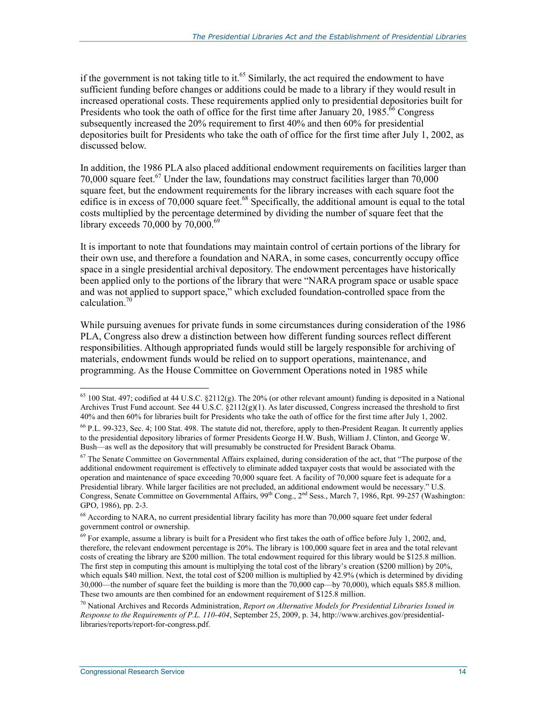if the government is not taking title to it.<sup>65</sup> Similarly, the act required the endowment to have sufficient funding before changes or additions could be made to a library if they would result in increased operational costs. These requirements applied only to presidential depositories built for Presidents who took the oath of office for the first time after January 20, 1985.<sup>66</sup> Congress subsequently increased the 20% requirement to first 40% and then 60% for presidential depositories built for Presidents who take the oath of office for the first time after July 1, 2002, as discussed below.

In addition, the 1986 PLA also placed additional endowment requirements on facilities larger than 70,000 square feet.<sup>67</sup> Under the law, foundations may construct facilities larger than  $70,000$ square feet, but the endowment requirements for the library increases with each square foot the edifice is in excess of 70,000 square feet.<sup>68</sup> Specifically, the additional amount is equal to the total costs multiplied by the percentage determined by dividing the number of square feet that the library exceeds 70,000 by 70,000.<sup>69</sup>

It is important to note that foundations may maintain control of certain portions of the library for their own use, and therefore a foundation and NARA, in some cases, concurrently occupy office space in a single presidential archival depository. The endowment percentages have historically been applied only to the portions of the library that were "NARA program space or usable space and was not applied to support space," which excluded foundation-controlled space from the calculation.70

While pursuing avenues for private funds in some circumstances during consideration of the 1986 PLA, Congress also drew a distinction between how different funding sources reflect different responsibilities. Although appropriated funds would still be largely responsible for archiving of materials, endowment funds would be relied on to support operations, maintenance, and programming. As the House Committee on Government Operations noted in 1985 while

 $65$  100 Stat. 497; codified at 44 U.S.C.  $\S2112(g)$ . The 20% (or other relevant amount) funding is deposited in a National Archives Trust Fund account. See 44 U.S.C. §2112(g)(1). As later discussed, Congress increased the threshold to first 40% and then 60% for libraries built for Presidents who take the oath of office for the first time after July 1, 2002.

<sup>66</sup> P.L. 99-323, Sec. 4; 100 Stat. 498. The statute did not, therefore, apply to then-President Reagan. It currently applies to the presidential depository libraries of former Presidents George H.W. Bush, William J. Clinton, and George W. Bush—as well as the depository that will presumably be constructed for President Barack Obama.

<sup>&</sup>lt;sup>67</sup> The Senate Committee on Governmental Affairs explained, during consideration of the act, that "The purpose of the additional endowment requirement is effectively to eliminate added taxpayer costs that would be associated with the operation and maintenance of space exceeding 70,000 square feet. A facility of 70,000 square feet is adequate for a Presidential library. While larger facilities are not precluded, an additional endowment would be necessary." U.S. Congress, Senate Committee on Governmental Affairs, 99th Cong., 2nd Sess., March 7, 1986, Rpt. 99-257 (Washington: GPO, 1986), pp. 2-3.

<sup>&</sup>lt;sup>68</sup> According to NARA, no current presidential library facility has more than 70,000 square feet under federal government control or ownership.

 $69$  For example, assume a library is built for a President who first takes the oath of office before July 1, 2002, and, therefore, the relevant endowment percentage is 20%. The library is 100,000 square feet in area and the total relevant costs of creating the library are \$200 million. The total endowment required for this library would be \$125.8 million. The first step in computing this amount is multiplying the total cost of the library's creation (\$200 million) by 20%, which equals \$40 million. Next, the total cost of \$200 million is multiplied by 42.9% (which is determined by dividing 30,000—the number of square feet the building is more than the 70,000 cap—by 70,000), which equals \$85.8 million. These two amounts are then combined for an endowment requirement of \$125.8 million.

<sup>70</sup> National Archives and Records Administration, *Report on Alternative Models for Presidential Libraries Issued in Response to the Requirements of P.L. 110-404*, September 25, 2009, p. 34, http://www.archives.gov/presidentiallibraries/reports/report-for-congress.pdf.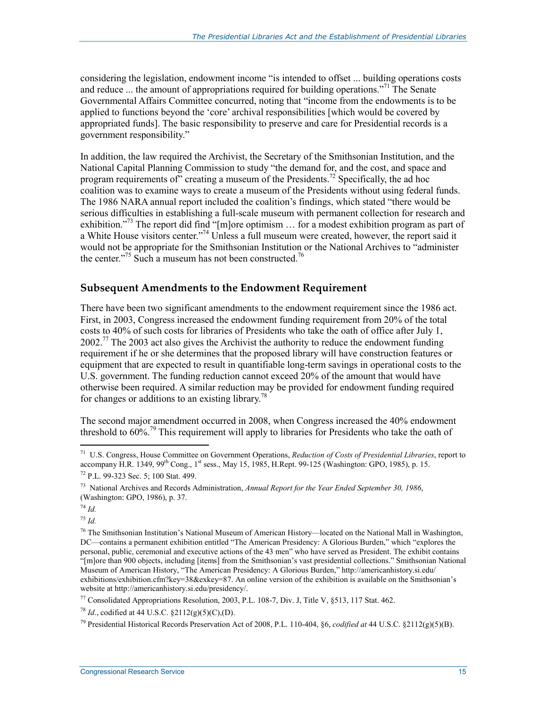considering the legislation, endowment income "is intended to offset ... building operations costs and reduce ... the amount of appropriations required for building operations."<sup>71</sup> The Senate Governmental Affairs Committee concurred, noting that "income from the endowments is to be applied to functions beyond the 'core' archival responsibilities [which would be covered by appropriated funds]. The basic responsibility to preserve and care for Presidential records is a government responsibility."

In addition, the law required the Archivist, the Secretary of the Smithsonian Institution, and the National Capital Planning Commission to study "the demand for, and the cost, and space and program requirements of creating a museum of the Presidents.<sup>72</sup> Specifically, the ad hoc coalition was to examine ways to create a museum of the Presidents without using federal funds. The 1986 NARA annual report included the coalition's findings, which stated "there would be serious difficulties in establishing a full-scale museum with permanent collection for research and exhibition."<sup>73</sup> The report did find "[m]ore optimism  $\ldots$  for a modest exhibition program as part of a White House visitors center."74 Unless a full museum were created, however, the report said it would not be appropriate for the Smithsonian Institution or the National Archives to "administer" the center."<sup>75</sup> Such a museum has not been constructed.<sup>76</sup>

#### **Subsequent Amendments to the Endowment Requirement**

There have been two significant amendments to the endowment requirement since the 1986 act. First, in 2003, Congress increased the endowment funding requirement from 20% of the total costs to 40% of such costs for libraries of Presidents who take the oath of office after July 1,  $2002<sup>77</sup>$  The 2003 act also gives the Archivist the authority to reduce the endowment funding requirement if he or she determines that the proposed library will have construction features or equipment that are expected to result in quantifiable long-term savings in operational costs to the U.S. government. The funding reduction cannot exceed 20% of the amount that would have otherwise been required. A similar reduction may be provided for endowment funding required for changes or additions to an existing library.<sup>78</sup>

The second major amendment occurred in 2008, when Congress increased the 40% endowment threshold to  $60\%$ <sup>79</sup>. This requirement will apply to libraries for Presidents who take the oath of

<sup>74</sup> *Id.*

1

<sup>75</sup> *Id.*

77 Consolidated Appropriations Resolution, 2003, P.L. 108-7, Div. J, Title V, §513, 117 Stat. 462.

<sup>78</sup> *Id*., codified at 44 U.S.C. §2112(g)(5)(C),(D).

79 Presidential Historical Records Preservation Act of 2008, P.L. 110-404, §6, *codified at* 44 U.S.C. §2112(g)(5)(B).

<sup>71</sup> U.S. Congress, House Committee on Government Operations, *Reduction of Costs of Presidential Libraries*, report to accompany H.R. 1349, 99<sup>th</sup> Cong., 1<sup>st</sup> sess., May 15, 1985, H.Rept. 99-125 (Washington: GPO, 1985), p. 15.

<sup>72</sup> P.L. 99-323 Sec. 5; 100 Stat. 499.

<sup>73</sup> National Archives and Records Administration, *Annual Report for the Year Ended September 30, 1986*, (Washington: GPO, 1986), p. 37.

<sup>&</sup>lt;sup>76</sup> The Smithsonian Institution's National Museum of American History—located on the National Mall in Washington, DC—contains a permanent exhibition entitled "The American Presidency: A Glorious Burden," which "explores the personal, public, ceremonial and executive actions of the 43 men" who have served as President. The exhibit contains "[m]ore than 900 objects, including [items] from the Smithsonian's vast presidential collections." Smithsonian National Museum of American History, "The American Presidency: A Glorious Burden," http://americanhistory.si.edu/ exhibitions/exhibition.cfm?key=38&exkey=87. An online version of the exhibition is available on the Smithsonian's website at http://americanhistory.si.edu/presidency/.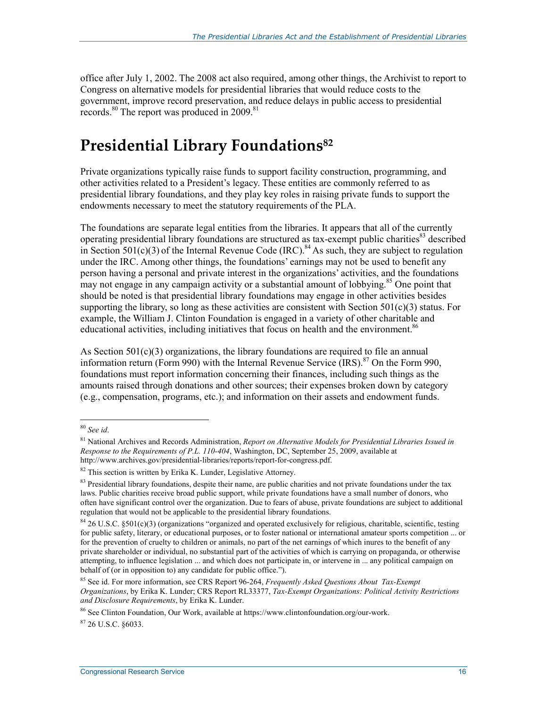office after July 1, 2002. The 2008 act also required, among other things, the Archivist to report to Congress on alternative models for presidential libraries that would reduce costs to the government, improve record preservation, and reduce delays in public access to presidential records.<sup>80</sup> The report was produced in 2009.<sup>81</sup>

## **Presidential Library Foundations82**

Private organizations typically raise funds to support facility construction, programming, and other activities related to a President's legacy. These entities are commonly referred to as presidential library foundations, and they play key roles in raising private funds to support the endowments necessary to meet the statutory requirements of the PLA.

The foundations are separate legal entities from the libraries. It appears that all of the currently operating presidential library foundations are structured as tax-exempt public charities<sup>83</sup> described in Section  $501(c)(3)$  of the Internal Revenue Code (IRC).<sup>84</sup> As such, they are subject to regulation under the IRC. Among other things, the foundations' earnings may not be used to benefit any person having a personal and private interest in the organizations' activities, and the foundations may not engage in any campaign activity or a substantial amount of lobbying.<sup>85</sup> One point that should be noted is that presidential library foundations may engage in other activities besides supporting the library, so long as these activities are consistent with Section  $501(c)(3)$  status. For example, the William J. Clinton Foundation is engaged in a variety of other charitable and educational activities, including initiatives that focus on health and the environment.<sup>86</sup>

As Section  $501(c)(3)$  organizations, the library foundations are required to file an annual information return (Form 990) with the Internal Revenue Service  $(IRS)$ .<sup>87</sup> On the Form 990, foundations must report information concerning their finances, including such things as the amounts raised through donations and other sources; their expenses broken down by category (e.g., compensation, programs, etc.); and information on their assets and endowment funds.

1

87 26 U.S.C. §6033.

<sup>80</sup> *See id*.

<sup>81</sup> National Archives and Records Administration, *Report on Alternative Models for Presidential Libraries Issued in Response to the Requirements of P.L. 110-404*, Washington, DC, September 25, 2009, available at http://www.archives.gov/presidential-libraries/reports/report-for-congress.pdf.

 $82$  This section is written by Erika K. Lunder, Legislative Attorney.

 $83$  Presidential library foundations, despite their name, are public charities and not private foundations under the tax laws. Public charities receive broad public support, while private foundations have a small number of donors, who often have significant control over the organization. Due to fears of abuse, private foundations are subject to additional regulation that would not be applicable to the presidential library foundations.

 $84$  26 U.S.C.  $$501(c)(3)$  (organizations "organized and operated exclusively for religious, charitable, scientific, testing for public safety, literary, or educational purposes, or to foster national or international amateur sports competition ... or for the prevention of cruelty to children or animals, no part of the net earnings of which inures to the benefit of any private shareholder or individual, no substantial part of the activities of which is carrying on propaganda, or otherwise attempting, to influence legislation ... and which does not participate in, or intervene in ... any political campaign on behalf of (or in opposition to) any candidate for public office.").

<sup>85</sup> See id. For more information, see CRS Report 96-264, *Frequently Asked Questions About Tax-Exempt Organizations*, by Erika K. Lunder; CRS Report RL33377, *Tax-Exempt Organizations: Political Activity Restrictions and Disclosure Requirements*, by Erika K. Lunder.

<sup>86</sup> See Clinton Foundation, Our Work, available at https://www.clintonfoundation.org/our-work.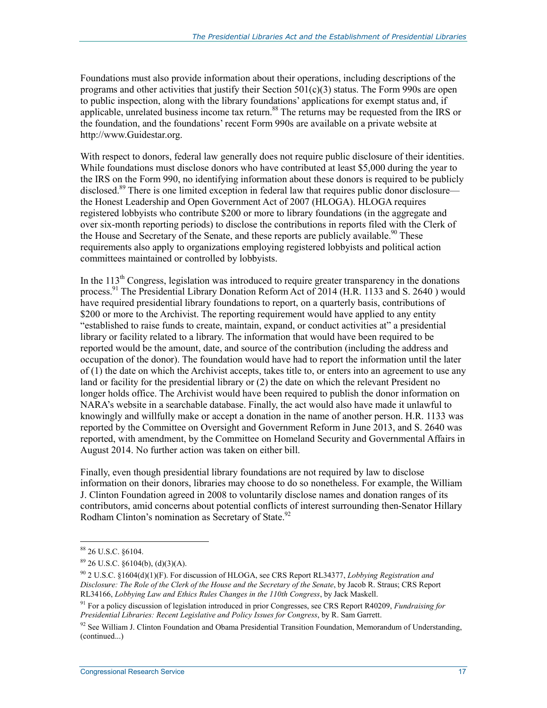Foundations must also provide information about their operations, including descriptions of the programs and other activities that justify their Section  $501(c)(3)$  status. The Form 990s are open to public inspection, along with the library foundations' applications for exempt status and, if applicable, unrelated business income tax return.<sup>88</sup> The returns may be requested from the IRS or the foundation, and the foundations' recent Form 990s are available on a private website at http://www.Guidestar.org.

With respect to donors, federal law generally does not require public disclosure of their identities. While foundations must disclose donors who have contributed at least \$5,000 during the year to the IRS on the Form 990, no identifying information about these donors is required to be publicly disclosed.<sup>89</sup> There is one limited exception in federal law that requires public donor disclosure the Honest Leadership and Open Government Act of 2007 (HLOGA). HLOGA requires registered lobbyists who contribute \$200 or more to library foundations (in the aggregate and over six-month reporting periods) to disclose the contributions in reports filed with the Clerk of the House and Secretary of the Senate, and these reports are publicly available.<sup>90</sup> These requirements also apply to organizations employing registered lobbyists and political action committees maintained or controlled by lobbyists.

In the  $113<sup>th</sup>$  Congress, legislation was introduced to require greater transparency in the donations process.<sup>91</sup> The Presidential Library Donation Reform Act of 2014 (H.R. 1133 and S. 2640) would have required presidential library foundations to report, on a quarterly basis, contributions of \$200 or more to the Archivist. The reporting requirement would have applied to any entity "established to raise funds to create, maintain, expand, or conduct activities at" a presidential library or facility related to a library. The information that would have been required to be reported would be the amount, date, and source of the contribution (including the address and occupation of the donor). The foundation would have had to report the information until the later of (1) the date on which the Archivist accepts, takes title to, or enters into an agreement to use any land or facility for the presidential library or (2) the date on which the relevant President no longer holds office. The Archivist would have been required to publish the donor information on NARA's website in a searchable database. Finally, the act would also have made it unlawful to knowingly and willfully make or accept a donation in the name of another person. H.R. 1133 was reported by the Committee on Oversight and Government Reform in June 2013, and S. 2640 was reported, with amendment, by the Committee on Homeland Security and Governmental Affairs in August 2014. No further action was taken on either bill.

Finally, even though presidential library foundations are not required by law to disclose information on their donors, libraries may choose to do so nonetheless. For example, the William J. Clinton Foundation agreed in 2008 to voluntarily disclose names and donation ranges of its contributors, amid concerns about potential conflicts of interest surrounding then-Senator Hillary Rodham Clinton's nomination as Secretary of State.<sup>92</sup>

<sup>88 26</sup> U.S.C. §6104.

 $89$  26 U.S.C.  $$6104(b), (d)(3)(A).$ 

<sup>90 2</sup> U.S.C. §1604(d)(1)(F). For discussion of HLOGA, see CRS Report RL34377, *Lobbying Registration and Disclosure: The Role of the Clerk of the House and the Secretary of the Senate*, by Jacob R. Straus; CRS Report RL34166, *Lobbying Law and Ethics Rules Changes in the 110th Congress*, by Jack Maskell.

<sup>91</sup> For a policy discussion of legislation introduced in prior Congresses, see CRS Report R40209, *Fundraising for Presidential Libraries: Recent Legislative and Policy Issues for Congress*, by R. Sam Garrett.

 $92$  See William J. Clinton Foundation and Obama Presidential Transition Foundation, Memorandum of Understanding, (continued...)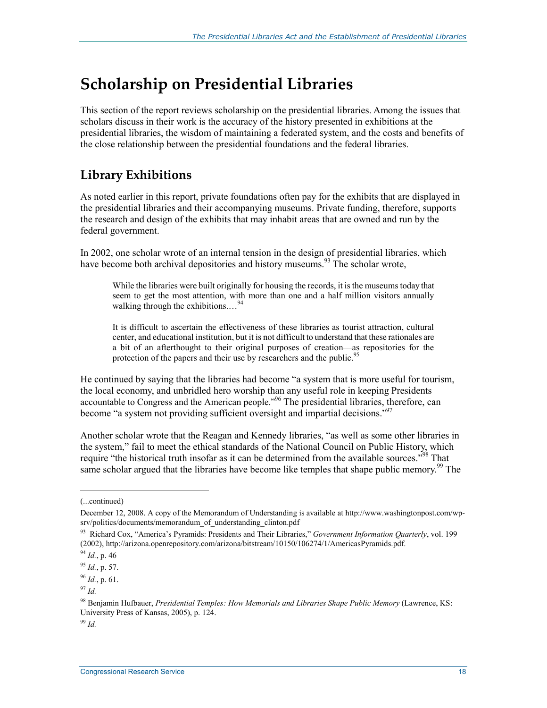## **Scholarship on Presidential Libraries**

This section of the report reviews scholarship on the presidential libraries. Among the issues that scholars discuss in their work is the accuracy of the history presented in exhibitions at the presidential libraries, the wisdom of maintaining a federated system, and the costs and benefits of the close relationship between the presidential foundations and the federal libraries.

### **Library Exhibitions**

As noted earlier in this report, private foundations often pay for the exhibits that are displayed in the presidential libraries and their accompanying museums. Private funding, therefore, supports the research and design of the exhibits that may inhabit areas that are owned and run by the federal government.

In 2002, one scholar wrote of an internal tension in the design of presidential libraries, which have become both archival depositories and history museums.<sup>93</sup> The scholar wrote,

While the libraries were built originally for housing the records, it is the museums today that seem to get the most attention, with more than one and a half million visitors annually walking through the exhibitions....<sup>94</sup>

It is difficult to ascertain the effectiveness of these libraries as tourist attraction, cultural center, and educational institution, but it is not difficult to understand that these rationales are a bit of an afterthought to their original purposes of creation––as repositories for the protection of the papers and their use by researchers and the public.<sup>95</sup>

He continued by saying that the libraries had become "a system that is more useful for tourism, the local economy, and unbridled hero worship than any useful role in keeping Presidents accountable to Congress and the American people."96 The presidential libraries, therefore, can become "a system not providing sufficient oversight and impartial decisions."<sup>97</sup>

Another scholar wrote that the Reagan and Kennedy libraries, "as well as some other libraries in the system," fail to meet the ethical standards of the National Council on Public History, which require "the historical truth insofar as it can be determined from the available sources."<sup>98</sup> That same scholar argued that the libraries have become like temples that shape public memory.<sup>99</sup> The

1

<sup>99</sup> *Id.*

<sup>(...</sup>continued)

December 12, 2008. A copy of the Memorandum of Understanding is available at http://www.washingtonpost.com/wpsrv/politics/documents/memorandum\_of\_understanding\_clinton.pdf

<sup>93</sup> Richard Cox, "America's Pyramids: Presidents and Their Libraries," *Government Information Quarterly*, vol. 199 (2002), http://arizona.openrepository.com/arizona/bitstream/10150/106274/1/AmericasPyramids.pdf.

<sup>94</sup> *Id.*, p. 46

<sup>95</sup> *Id.*, p. 57.

<sup>96</sup> *Id.*, p. 61.

<sup>97</sup> *Id.*

<sup>98</sup> Benjamin Hufbauer, *Presidential Temples: How Memorials and Libraries Shape Public Memory* (Lawrence, KS: University Press of Kansas, 2005), p. 124.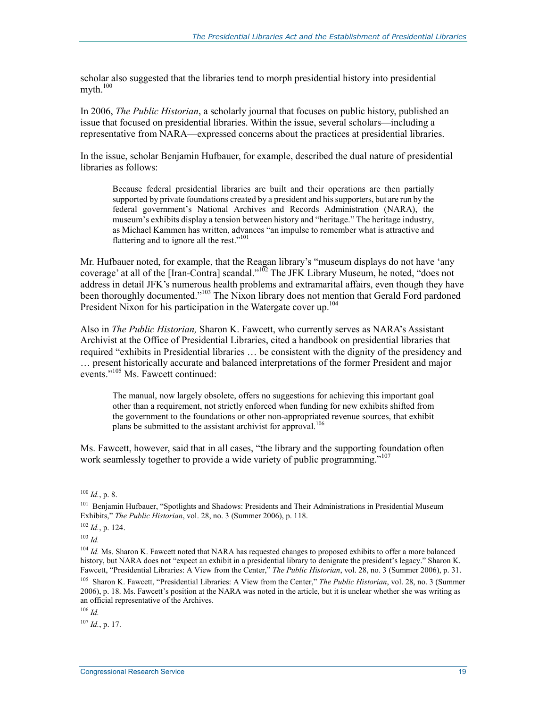scholar also suggested that the libraries tend to morph presidential history into presidential  $mvth.<sup>100</sup>$ 

In 2006, *The Public Historian*, a scholarly journal that focuses on public history, published an issue that focused on presidential libraries. Within the issue, several scholars—including a representative from NARA—expressed concerns about the practices at presidential libraries.

In the issue, scholar Benjamin Hufbauer, for example, described the dual nature of presidential libraries as follows:

Because federal presidential libraries are built and their operations are then partially supported by private foundations created by a president and his supporters, but are run by the federal government's National Archives and Records Administration (NARA), the museum's exhibits display a tension between history and "heritage." The heritage industry, as Michael Kammen has written, advances "an impulse to remember what is attractive and flattering and to ignore all the rest."<sup>101</sup>

Mr. Hufbauer noted, for example, that the Reagan library's "museum displays do not have 'any coverage' at all of the [Iran-Contra] scandal."<sup>102</sup> The JFK Library Museum, he noted, "does not address in detail JFK's numerous health problems and extramarital affairs, even though they have been thoroughly documented."<sup>103</sup> The Nixon library does not mention that Gerald Ford pardoned President Nixon for his participation in the Watergate cover up.<sup>104</sup>

Also in *The Public Historian,* Sharon K. Fawcett, who currently serves as NARA's Assistant Archivist at the Office of Presidential Libraries, cited a handbook on presidential libraries that required "exhibits in Presidential libraries … be consistent with the dignity of the presidency and … present historically accurate and balanced interpretations of the former President and major events."105 Ms. Fawcett continued:

The manual, now largely obsolete, offers no suggestions for achieving this important goal other than a requirement, not strictly enforced when funding for new exhibits shifted from the government to the foundations or other non-appropriated revenue sources, that exhibit plans be submitted to the assistant archivist for approval.<sup>106</sup>

Ms. Fawcett, however, said that in all cases, "the library and the supporting foundation often work seamlessly together to provide a wide variety of public programming.<sup>"107</sup>

 $100$  *Id.*, p. 8.

<sup>&</sup>lt;sup>101</sup> Benjamin Hufbauer, "Spotlights and Shadows: Presidents and Their Administrations in Presidential Museum Exhibits," *The Public Historian*, vol. 28, no. 3 (Summer 2006), p. 118.

 $102$  *Id.*, p. 124.

<sup>103</sup> *Id.*

<sup>&</sup>lt;sup>104</sup> *Id.* Ms. Sharon K. Fawcett noted that NARA has requested changes to proposed exhibits to offer a more balanced history, but NARA does not "expect an exhibit in a presidential library to denigrate the president's legacy." Sharon K. Fawcett, "Presidential Libraries: A View from the Center," *The Public Historian*, vol. 28, no. 3 (Summer 2006), p. 31.

<sup>105</sup> Sharon K. Fawcett, "Presidential Libraries: A View from the Center," *The Public Historian*, vol. 28, no. 3 (Summer 2006), p. 18. Ms. Fawcett's position at the NARA was noted in the article, but it is unclear whether she was writing as an official representative of the Archives.

<sup>106</sup> *Id.*

 $^{107}$  *Id.*, p. 17.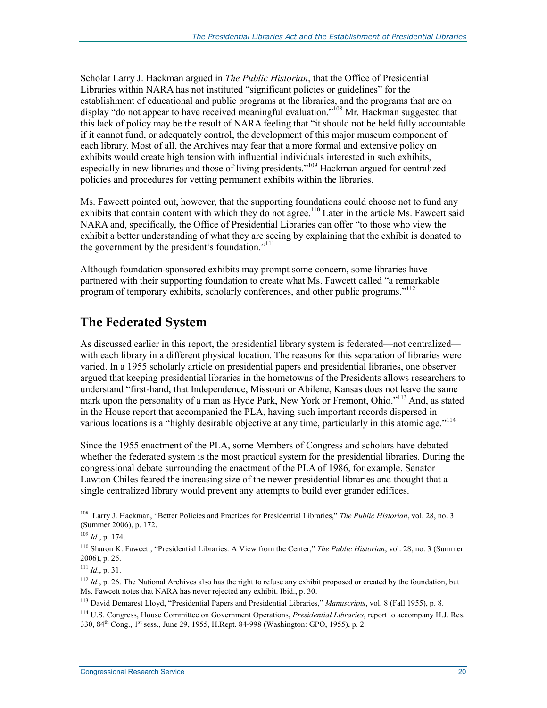Scholar Larry J. Hackman argued in *The Public Historian*, that the Office of Presidential Libraries within NARA has not instituted "significant policies or guidelines" for the establishment of educational and public programs at the libraries, and the programs that are on display "do not appear to have received meaningful evaluation."<sup>108</sup> Mr. Hackman suggested that this lack of policy may be the result of NARA feeling that "it should not be held fully accountable if it cannot fund, or adequately control, the development of this major museum component of each library. Most of all, the Archives may fear that a more formal and extensive policy on exhibits would create high tension with influential individuals interested in such exhibits, especially in new libraries and those of living presidents."<sup>109</sup> Hackman argued for centralized policies and procedures for vetting permanent exhibits within the libraries.

Ms. Fawcett pointed out, however, that the supporting foundations could choose not to fund any exhibits that contain content with which they do not agree.<sup>110</sup> Later in the article Ms. Fawcett said NARA and, specifically, the Office of Presidential Libraries can offer "to those who view the exhibit a better understanding of what they are seeing by explaining that the exhibit is donated to the government by the president's foundation."<sup>111</sup>

Although foundation-sponsored exhibits may prompt some concern, some libraries have partnered with their supporting foundation to create what Ms. Fawcett called "a remarkable program of temporary exhibits, scholarly conferences, and other public programs."<sup>112</sup>

#### **The Federated System**

As discussed earlier in this report, the presidential library system is federated—not centralized with each library in a different physical location. The reasons for this separation of libraries were varied. In a 1955 scholarly article on presidential papers and presidential libraries, one observer argued that keeping presidential libraries in the hometowns of the Presidents allows researchers to understand "first-hand, that Independence, Missouri or Abilene, Kansas does not leave the same mark upon the personality of a man as Hyde Park, New York or Fremont, Ohio."<sup>113</sup> And, as stated in the House report that accompanied the PLA, having such important records dispersed in various locations is a "highly desirable objective at any time, particularly in this atomic age."<sup>114</sup>

Since the 1955 enactment of the PLA, some Members of Congress and scholars have debated whether the federated system is the most practical system for the presidential libraries. During the congressional debate surrounding the enactment of the PLA of 1986, for example, Senator Lawton Chiles feared the increasing size of the newer presidential libraries and thought that a single centralized library would prevent any attempts to build ever grander edifices.

<sup>108</sup> Larry J. Hackman, "Better Policies and Practices for Presidential Libraries," *The Public Historian*, vol. 28, no. 3 (Summer 2006), p. 172.

 $109$  *Id.*, p. 174.

<sup>110</sup> Sharon K. Fawcett, "Presidential Libraries: A View from the Center," *The Public Historian*, vol. 28, no. 3 (Summer 2006), p. 25.

 $111$  *Id.*, p. 31.

 $112$  *Id.*, p. 26. The National Archives also has the right to refuse any exhibit proposed or created by the foundation, but Ms. Fawcett notes that NARA has never rejected any exhibit. Ibid., p. 30.

<sup>113</sup> David Demarest Lloyd, "Presidential Papers and Presidential Libraries," *Manuscripts*, vol. 8 (Fall 1955), p. 8.

<sup>114</sup> U.S. Congress, House Committee on Government Operations, *Presidential Libraries*, report to accompany H.J. Res. 330, 84th Cong., 1st sess., June 29, 1955, H.Rept. 84-998 (Washington: GPO, 1955), p. 2.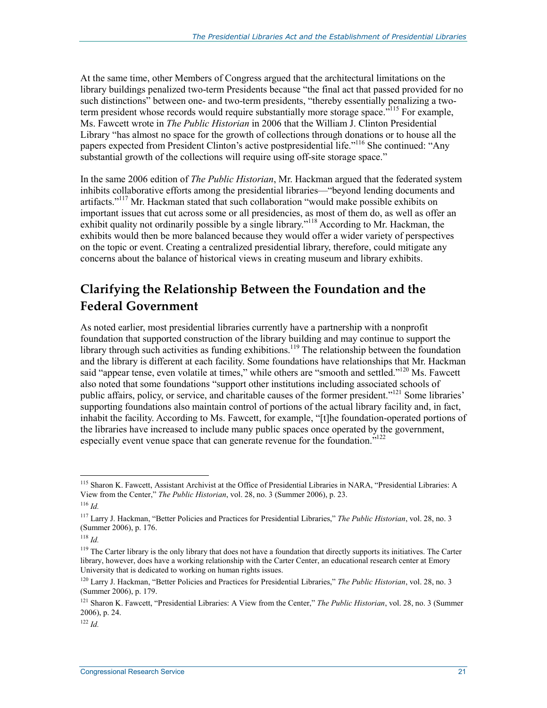At the same time, other Members of Congress argued that the architectural limitations on the library buildings penalized two-term Presidents because "the final act that passed provided for no such distinctions" between one- and two-term presidents, "thereby essentially penalizing a twoterm president whose records would require substantially more storage space.<sup>7115</sup> For example, Ms. Fawcett wrote in *The Public Historian* in 2006 that the William J. Clinton Presidential Library "has almost no space for the growth of collections through donations or to house all the papers expected from President Clinton's active postpresidential life."<sup>116</sup> She continued: "Any substantial growth of the collections will require using off-site storage space."

In the same 2006 edition of *The Public Historian*, Mr. Hackman argued that the federated system inhibits collaborative efforts among the presidential libraries—"beyond lending documents and artifacts."<sup>117</sup> Mr. Hackman stated that such collaboration "would make possible exhibits on important issues that cut across some or all presidencies, as most of them do, as well as offer an exhibit quality not ordinarily possible by a single library.<sup>"118</sup> According to Mr. Hackman, the exhibits would then be more balanced because they would offer a wider variety of perspectives on the topic or event. Creating a centralized presidential library, therefore, could mitigate any concerns about the balance of historical views in creating museum and library exhibits.

### **Clarifying the Relationship Between the Foundation and the Federal Government**

As noted earlier, most presidential libraries currently have a partnership with a nonprofit foundation that supported construction of the library building and may continue to support the library through such activities as funding exhibitions.<sup>119</sup> The relationship between the foundation and the library is different at each facility. Some foundations have relationships that Mr. Hackman said "appear tense, even volatile at times," while others are "smooth and settled."<sup>120</sup> Ms. Fawcett also noted that some foundations "support other institutions including associated schools of public affairs, policy, or service, and charitable causes of the former president."<sup>121</sup> Some libraries' supporting foundations also maintain control of portions of the actual library facility and, in fact, inhabit the facility. According to Ms. Fawcett, for example, "[t]he foundation-operated portions of the libraries have increased to include many public spaces once operated by the government, especially event venue space that can generate revenue for the foundation.<sup>"122</sup>

<sup>&</sup>lt;sup>115</sup> Sharon K. Fawcett, Assistant Archivist at the Office of Presidential Libraries in NARA, "Presidential Libraries: A View from the Center," *The Public Historian*, vol. 28, no. 3 (Summer 2006), p. 23.

<sup>116</sup> *Id.*

<sup>117</sup> Larry J. Hackman, "Better Policies and Practices for Presidential Libraries," *The Public Historian*, vol. 28, no. 3 (Summer 2006), p. 176.

<sup>118</sup> *Id.*

<sup>&</sup>lt;sup>119</sup> The Carter library is the only library that does not have a foundation that directly supports its initiatives. The Carter library, however, does have a working relationship with the Carter Center, an educational research center at Emory University that is dedicated to working on human rights issues.

<sup>120</sup> Larry J. Hackman, "Better Policies and Practices for Presidential Libraries," *The Public Historian*, vol. 28, no. 3 (Summer 2006), p. 179.

<sup>121</sup> Sharon K. Fawcett, "Presidential Libraries: A View from the Center," *The Public Historian*, vol. 28, no. 3 (Summer 2006), p. 24.

<sup>122</sup> *Id.*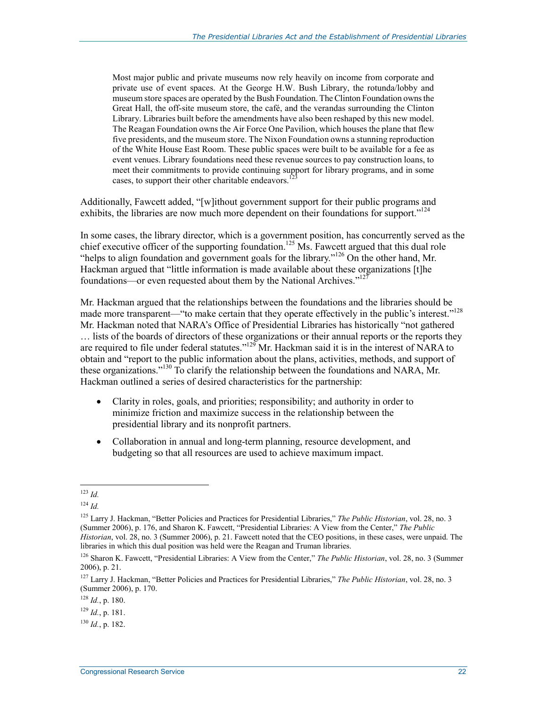Most major public and private museums now rely heavily on income from corporate and private use of event spaces. At the George H.W. Bush Library, the rotunda/lobby and museum store spaces are operated by the Bush Foundation. The Clinton Foundation owns the Great Hall, the off-site museum store, the café, and the verandas surrounding the Clinton Library. Libraries built before the amendments have also been reshaped by this new model. The Reagan Foundation owns the Air Force One Pavilion, which houses the plane that flew five presidents, and the museum store. The Nixon Foundation owns a stunning reproduction of the White House East Room. These public spaces were built to be available for a fee as event venues. Library foundations need these revenue sources to pay construction loans, to meet their commitments to provide continuing support for library programs, and in some cases, to support their other charitable endeavors.<sup>1</sup>

Additionally, Fawcett added, "[w]ithout government support for their public programs and exhibits, the libraries are now much more dependent on their foundations for support."<sup>124</sup>

In some cases, the library director, which is a government position, has concurrently served as the chief executive officer of the supporting foundation.<sup>125</sup> Ms. Fawcett argued that this dual role "helps to align foundation and government goals for the library."126 On the other hand, Mr. Hackman argued that "little information is made available about these organizations [t]he foundations—or even requested about them by the National Archives."<sup>127</sup>

Mr. Hackman argued that the relationships between the foundations and the libraries should be made more transparent—"to make certain that they operate effectively in the public's interest."<sup>128</sup> Mr. Hackman noted that NARA's Office of Presidential Libraries has historically "not gathered

… lists of the boards of directors of these organizations or their annual reports or the reports they are required to file under federal statutes."<sup>129</sup> Mr. Hackman said it is in the interest of NARA to obtain and "report to the public information about the plans, activities, methods, and support of these organizations."130 To clarify the relationship between the foundations and NARA, Mr. Hackman outlined a series of desired characteristics for the partnership:

- Clarity in roles, goals, and priorities; responsibility; and authority in order to minimize friction and maximize success in the relationship between the presidential library and its nonprofit partners.
- Collaboration in annual and long-term planning, resource development, and budgeting so that all resources are used to achieve maximum impact.

<sup>&</sup>lt;u>.</u> <sup>123</sup> *Id.*

<sup>124</sup> *Id.*

<sup>125</sup> Larry J. Hackman, "Better Policies and Practices for Presidential Libraries," *The Public Historian*, vol. 28, no. 3 (Summer 2006), p. 176, and Sharon K. Fawcett, "Presidential Libraries: A View from the Center," *The Public Historian*, vol. 28, no. 3 (Summer 2006), p. 21. Fawcett noted that the CEO positions, in these cases, were unpaid. The libraries in which this dual position was held were the Reagan and Truman libraries.

<sup>126</sup> Sharon K. Fawcett, "Presidential Libraries: A View from the Center," *The Public Historian*, vol. 28, no. 3 (Summer 2006), p. 21.

<sup>127</sup> Larry J. Hackman, "Better Policies and Practices for Presidential Libraries," *The Public Historian*, vol. 28, no. 3 (Summer 2006), p. 170.

<sup>128</sup> *Id.*, p. 180.

 $^{129}$  *Id.*, p. 181.

 $^{130}$  *Id.*, p. 182.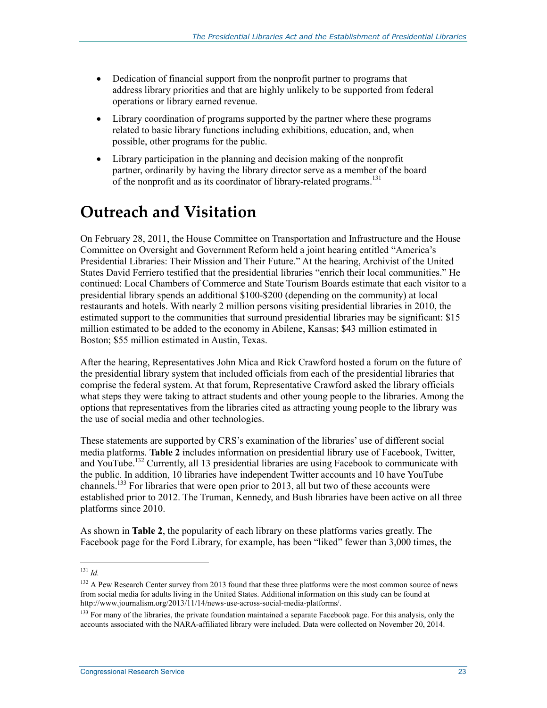- Dedication of financial support from the nonprofit partner to programs that address library priorities and that are highly unlikely to be supported from federal operations or library earned revenue.
- Library coordination of programs supported by the partner where these programs related to basic library functions including exhibitions, education, and, when possible, other programs for the public.
- Library participation in the planning and decision making of the nonprofit partner, ordinarily by having the library director serve as a member of the board of the nonprofit and as its coordinator of library-related programs.<sup>131</sup>

## **Outreach and Visitation**

On February 28, 2011, the House Committee on Transportation and Infrastructure and the House Committee on Oversight and Government Reform held a joint hearing entitled "America's Presidential Libraries: Their Mission and Their Future." At the hearing, Archivist of the United States David Ferriero testified that the presidential libraries "enrich their local communities." He continued: Local Chambers of Commerce and State Tourism Boards estimate that each visitor to a presidential library spends an additional \$100-\$200 (depending on the community) at local restaurants and hotels. With nearly 2 million persons visiting presidential libraries in 2010, the estimated support to the communities that surround presidential libraries may be significant: \$15 million estimated to be added to the economy in Abilene, Kansas; \$43 million estimated in Boston; \$55 million estimated in Austin, Texas.

After the hearing, Representatives John Mica and Rick Crawford hosted a forum on the future of the presidential library system that included officials from each of the presidential libraries that comprise the federal system. At that forum, Representative Crawford asked the library officials what steps they were taking to attract students and other young people to the libraries. Among the options that representatives from the libraries cited as attracting young people to the library was the use of social media and other technologies.

These statements are supported by CRS's examination of the libraries' use of different social media platforms. **Table 2** includes information on presidential library use of Facebook, Twitter, and YouTube.<sup>132</sup> Currently, all 13 presidential libraries are using Facebook to communicate with the public. In addition, 10 libraries have independent Twitter accounts and 10 have YouTube channels.<sup>133</sup> For libraries that were open prior to 2013, all but two of these accounts were established prior to 2012. The Truman, Kennedy, and Bush libraries have been active on all three platforms since 2010.

As shown in **Table 2**, the popularity of each library on these platforms varies greatly. The Facebook page for the Ford Library, for example, has been "liked" fewer than 3,000 times, the

<sup>131</sup> *Id.*

<sup>&</sup>lt;sup>132</sup> A Pew Research Center survey from 2013 found that these three platforms were the most common source of news from social media for adults living in the United States. Additional information on this study can be found at http://www.journalism.org/2013/11/14/news-use-across-social-media-platforms/.

<sup>&</sup>lt;sup>133</sup> For many of the libraries, the private foundation maintained a separate Facebook page. For this analysis, only the accounts associated with the NARA-affiliated library were included. Data were collected on November 20, 2014.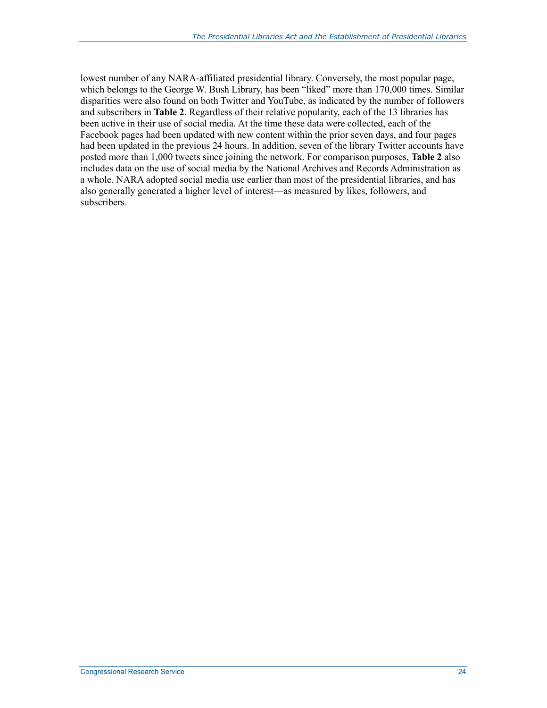lowest number of any NARA-affiliated presidential library. Conversely, the most popular page, which belongs to the George W. Bush Library, has been "liked" more than 170,000 times. Similar disparities were also found on both Twitter and YouTube, as indicated by the number of followers and subscribers in **Table 2**. Regardless of their relative popularity, each of the 13 libraries has been active in their use of social media. At the time these data were collected, each of the Facebook pages had been updated with new content within the prior seven days, and four pages had been updated in the previous 24 hours. In addition, seven of the library Twitter accounts have posted more than 1,000 tweets since joining the network. For comparison purposes, **Table 2** also includes data on the use of social media by the National Archives and Records Administration as a whole. NARA adopted social media use earlier than most of the presidential libraries, and has also generally generated a higher level of interest—as measured by likes, followers, and subscribers.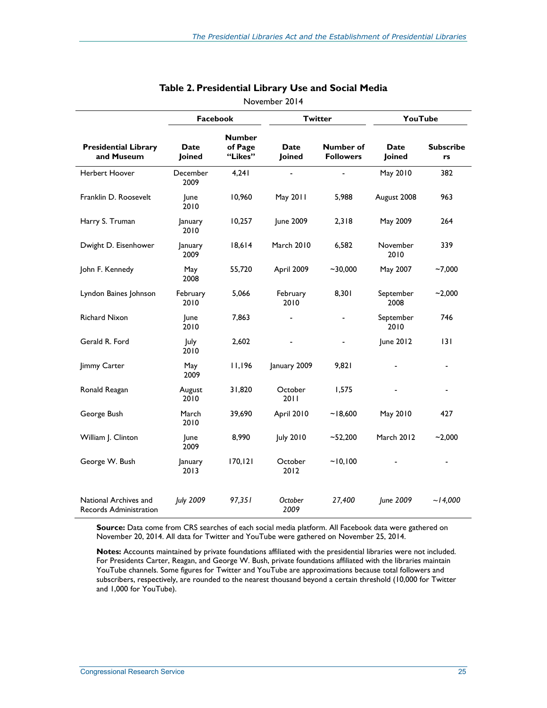|                                                 | <b>Facebook</b>     |                                     | <b>Twitter</b>        |                               | YouTube               |                        |
|-------------------------------------------------|---------------------|-------------------------------------|-----------------------|-------------------------------|-----------------------|------------------------|
| <b>Presidential Library</b><br>and Museum       | Date<br>Joined      | <b>Number</b><br>of Page<br>"Likes" | <b>Date</b><br>Joined | Number of<br><b>Followers</b> | <b>Date</b><br>Joined | <b>Subscribe</b><br>rs |
| Herbert Hoover                                  | December<br>2009    | 4,241                               |                       |                               | May 2010              | 382                    |
| Franklin D. Roosevelt                           | <b>June</b><br>2010 | 10,960                              | May 2011              | 5,988                         | August 2008           | 963                    |
| Harry S. Truman                                 | January<br>2010     | 10,257                              | June 2009             | 2,318                         | May 2009              | 264                    |
| Dwight D. Eisenhower                            | January<br>2009     | 18,614                              | <b>March 2010</b>     | 6,582                         | November<br>2010      | 339                    |
| John F. Kennedy                                 | May<br>2008         | 55,720                              | April 2009            | $-30,000$                     | May 2007              | $-7,000$               |
| Lyndon Baines Johnson                           | February<br>2010    | 5,066                               | February<br>2010      | 8,301                         | September<br>2008     | $-2,000$               |
| Richard Nixon                                   | June<br>2010        | 7,863                               | ٠                     |                               | September<br>2010     | 746                    |
| Gerald R. Ford                                  | July<br>2010        | 2,602                               |                       |                               | June 2012             | 3                      |
| Jimmy Carter                                    | May<br>2009         | 11,196                              | January 2009          | 9,821                         |                       |                        |
| Ronald Reagan                                   | August<br>2010      | 31,820                              | October<br>2011       | 1,575                         |                       |                        |
| George Bush                                     | March<br>2010       | 39,690                              | April 2010            | ~18,600                       | May 2010              | 427                    |
| William J. Clinton                              | <b>June</b><br>2009 | 8,990                               | <b>July 2010</b>      | $-52,200$                     | March 2012            | $-2,000$               |
| George W. Bush                                  | January<br>2013     | 170, 121                            | October<br>2012       | ~10,100                       |                       |                        |
| National Archives and<br>Records Administration | July 2009           | 97,351                              | October<br>2009       | 27,400                        | June 2009             | $-14,000$              |

#### **Table 2. Presidential Library Use and Social Media**

November 2014

**Source:** Data come from CRS searches of each social media platform. All Facebook data were gathered on November 20, 2014. All data for Twitter and YouTube were gathered on November 25, 2014.

**Notes:** Accounts maintained by private foundations affiliated with the presidential libraries were not included. For Presidents Carter, Reagan, and George W. Bush, private foundations affiliated with the libraries maintain YouTube channels. Some figures for Twitter and YouTube are approximations because total followers and subscribers, respectively, are rounded to the nearest thousand beyond a certain threshold (10,000 for Twitter and 1,000 for YouTube).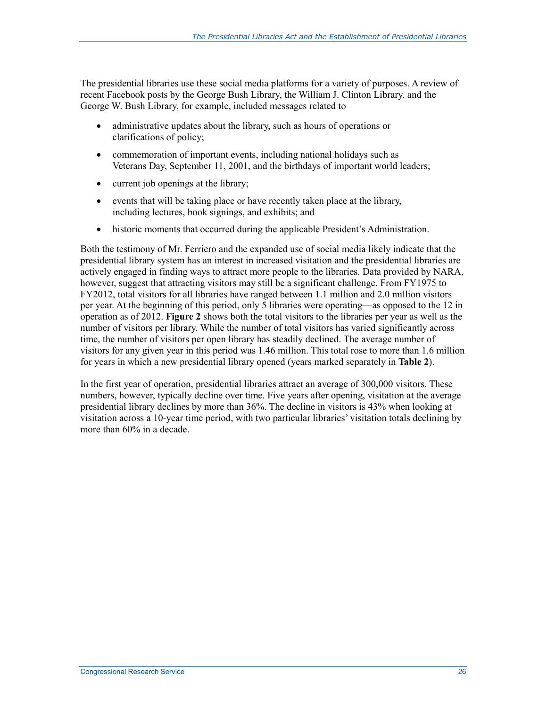The presidential libraries use these social media platforms for a variety of purposes. A review of recent Facebook posts by the George Bush Library, the William J. Clinton Library, and the George W. Bush Library, for example, included messages related to

- administrative updates about the library, such as hours of operations or clarifications of policy;
- commemoration of important events, including national holidays such as Veterans Day, September 11, 2001, and the birthdays of important world leaders;
- current job openings at the library;
- events that will be taking place or have recently taken place at the library, including lectures, book signings, and exhibits; and
- historic moments that occurred during the applicable President's Administration.

Both the testimony of Mr. Ferriero and the expanded use of social media likely indicate that the presidential library system has an interest in increased visitation and the presidential libraries are actively engaged in finding ways to attract more people to the libraries. Data provided by NARA, however, suggest that attracting visitors may still be a significant challenge. From FY1975 to FY2012, total visitors for all libraries have ranged between 1.1 million and 2.0 million visitors per year. At the beginning of this period, only 5 libraries were operating—as opposed to the 12 in operation as of 2012. **Figure 2** shows both the total visitors to the libraries per year as well as the number of visitors per library. While the number of total visitors has varied significantly across time, the number of visitors per open library has steadily declined. The average number of visitors for any given year in this period was 1.46 million. This total rose to more than 1.6 million for years in which a new presidential library opened (years marked separately in **Table 2**).

In the first year of operation, presidential libraries attract an average of 300,000 visitors. These numbers, however, typically decline over time. Five years after opening, visitation at the average presidential library declines by more than 36%. The decline in visitors is 43% when looking at visitation across a 10-year time period, with two particular libraries' visitation totals declining by more than 60% in a decade.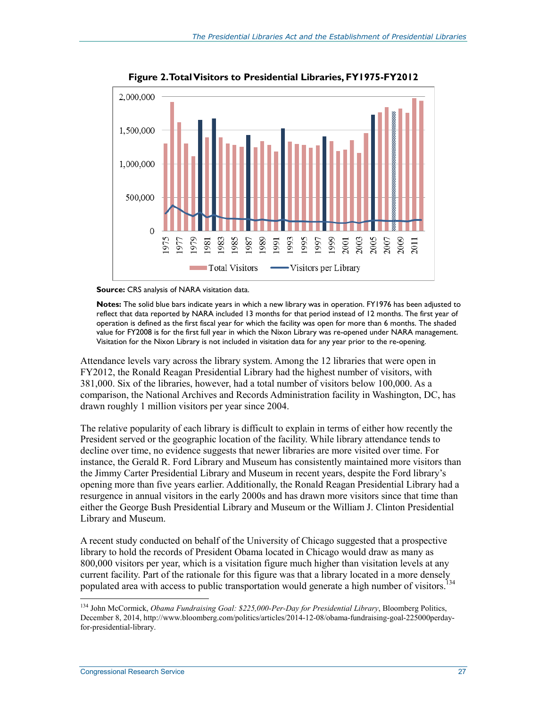

**Figure 2. Total Visitors to Presidential Libraries, FY1975-FY2012** 



**Notes:** The solid blue bars indicate years in which a new library was in operation. FY1976 has been adjusted to reflect that data reported by NARA included 13 months for that period instead of 12 months. The first year of operation is defined as the first fiscal year for which the facility was open for more than 6 months. The shaded value for FY2008 is for the first full year in which the Nixon Library was re-opened under NARA management. Visitation for the Nixon Library is not included in visitation data for any year prior to the re-opening.

Attendance levels vary across the library system. Among the 12 libraries that were open in FY2012, the Ronald Reagan Presidential Library had the highest number of visitors, with 381,000. Six of the libraries, however, had a total number of visitors below 100,000. As a comparison, the National Archives and Records Administration facility in Washington, DC, has drawn roughly 1 million visitors per year since 2004.

The relative popularity of each library is difficult to explain in terms of either how recently the President served or the geographic location of the facility. While library attendance tends to decline over time, no evidence suggests that newer libraries are more visited over time. For instance, the Gerald R. Ford Library and Museum has consistently maintained more visitors than the Jimmy Carter Presidential Library and Museum in recent years, despite the Ford library's opening more than five years earlier. Additionally, the Ronald Reagan Presidential Library had a resurgence in annual visitors in the early 2000s and has drawn more visitors since that time than either the George Bush Presidential Library and Museum or the William J. Clinton Presidential Library and Museum.

A recent study conducted on behalf of the University of Chicago suggested that a prospective library to hold the records of President Obama located in Chicago would draw as many as 800,000 visitors per year, which is a visitation figure much higher than visitation levels at any current facility. Part of the rationale for this figure was that a library located in a more densely populated area with access to public transportation would generate a high number of visitors.<sup>134</sup>

<sup>134</sup> John McCormick, *Obama Fundraising Goal: \$225,000-Per-Day for Presidential Library*, Bloomberg Politics, December 8, 2014, http://www.bloomberg.com/politics/articles/2014-12-08/obama-fundraising-goal-225000perdayfor-presidential-library.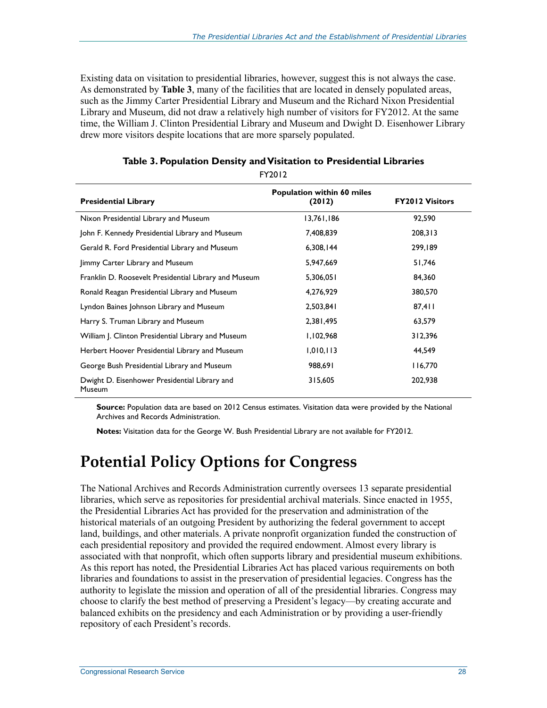Existing data on visitation to presidential libraries, however, suggest this is not always the case. As demonstrated by **Table 3**, many of the facilities that are located in densely populated areas, such as the Jimmy Carter Presidential Library and Museum and the Richard Nixon Presidential Library and Museum, did not draw a relatively high number of visitors for FY2012. At the same time, the William J. Clinton Presidential Library and Museum and Dwight D. Eisenhower Library drew more visitors despite locations that are more sparsely populated.

| <b>FILUIL</b>                                           |                                             |                        |  |  |
|---------------------------------------------------------|---------------------------------------------|------------------------|--|--|
| <b>Presidential Library</b>                             | <b>Population within 60 miles</b><br>(2012) | <b>FY2012 Visitors</b> |  |  |
| Nixon Presidential Library and Museum                   | 13,761,186                                  | 92,590                 |  |  |
| John F. Kennedy Presidential Library and Museum         | 7,408,839                                   | 208,313                |  |  |
| Gerald R. Ford Presidential Library and Museum          | 6,308,144                                   | 299,189                |  |  |
| Jimmy Carter Library and Museum                         | 5,947,669                                   | 51,746                 |  |  |
| Franklin D. Roosevelt Presidential Library and Museum   | 5,306,051                                   | 84,360                 |  |  |
| Ronald Reagan Presidential Library and Museum           | 4,276,929                                   | 380,570                |  |  |
| Lyndon Baines Johnson Library and Museum                | 2,503,841                                   | 87,411                 |  |  |
| Harry S. Truman Library and Museum                      | 2,381,495                                   | 63,579                 |  |  |
| William J. Clinton Presidential Library and Museum      | 1,102,968                                   | 312,396                |  |  |
| Herbert Hoover Presidential Library and Museum          | 1,010,113                                   | 44,549                 |  |  |
| George Bush Presidential Library and Museum             | 988,691                                     | 116,770                |  |  |
| Dwight D. Eisenhower Presidential Library and<br>Museum | 315,605                                     | 202,938                |  |  |

#### **Table 3. Population Density and Visitation to Presidential Libraries**  FY2012

**Source:** Population data are based on 2012 Census estimates. Visitation data were provided by the National Archives and Records Administration.

**Notes:** Visitation data for the George W. Bush Presidential Library are not available for FY2012.

### **Potential Policy Options for Congress**

The National Archives and Records Administration currently oversees 13 separate presidential libraries, which serve as repositories for presidential archival materials. Since enacted in 1955, the Presidential Libraries Act has provided for the preservation and administration of the historical materials of an outgoing President by authorizing the federal government to accept land, buildings, and other materials. A private nonprofit organization funded the construction of each presidential repository and provided the required endowment. Almost every library is associated with that nonprofit, which often supports library and presidential museum exhibitions. As this report has noted, the Presidential Libraries Act has placed various requirements on both libraries and foundations to assist in the preservation of presidential legacies. Congress has the authority to legislate the mission and operation of all of the presidential libraries. Congress may choose to clarify the best method of preserving a President's legacy—by creating accurate and balanced exhibits on the presidency and each Administration or by providing a user-friendly repository of each President's records.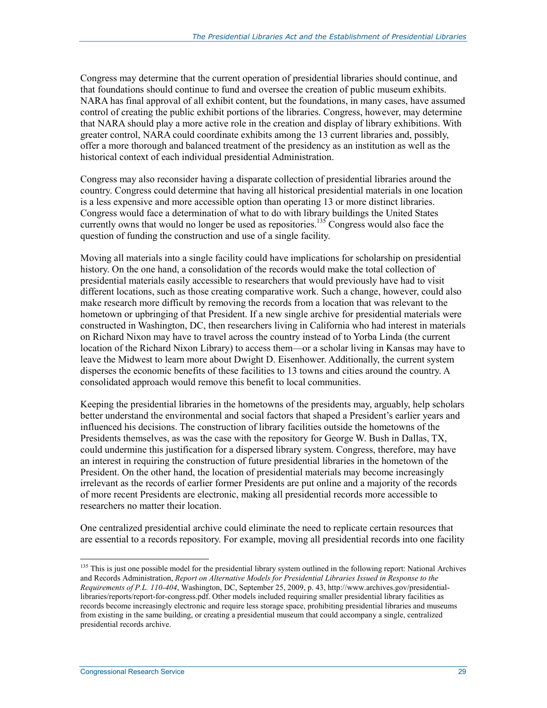Congress may determine that the current operation of presidential libraries should continue, and that foundations should continue to fund and oversee the creation of public museum exhibits. NARA has final approval of all exhibit content, but the foundations, in many cases, have assumed control of creating the public exhibit portions of the libraries. Congress, however, may determine that NARA should play a more active role in the creation and display of library exhibitions. With greater control, NARA could coordinate exhibits among the 13 current libraries and, possibly, offer a more thorough and balanced treatment of the presidency as an institution as well as the historical context of each individual presidential Administration.

Congress may also reconsider having a disparate collection of presidential libraries around the country. Congress could determine that having all historical presidential materials in one location is a less expensive and more accessible option than operating 13 or more distinct libraries. Congress would face a determination of what to do with library buildings the United States currently owns that would no longer be used as repositories.<sup>135</sup> Congress would also face the question of funding the construction and use of a single facility.

Moving all materials into a single facility could have implications for scholarship on presidential history. On the one hand, a consolidation of the records would make the total collection of presidential materials easily accessible to researchers that would previously have had to visit different locations, such as those creating comparative work. Such a change, however, could also make research more difficult by removing the records from a location that was relevant to the hometown or upbringing of that President. If a new single archive for presidential materials were constructed in Washington, DC, then researchers living in California who had interest in materials on Richard Nixon may have to travel across the country instead of to Yorba Linda (the current location of the Richard Nixon Library) to access them—or a scholar living in Kansas may have to leave the Midwest to learn more about Dwight D. Eisenhower. Additionally, the current system disperses the economic benefits of these facilities to 13 towns and cities around the country. A consolidated approach would remove this benefit to local communities.

Keeping the presidential libraries in the hometowns of the presidents may, arguably, help scholars better understand the environmental and social factors that shaped a President's earlier years and influenced his decisions. The construction of library facilities outside the hometowns of the Presidents themselves, as was the case with the repository for George W. Bush in Dallas, TX, could undermine this justification for a dispersed library system. Congress, therefore, may have an interest in requiring the construction of future presidential libraries in the hometown of the President. On the other hand, the location of presidential materials may become increasingly irrelevant as the records of earlier former Presidents are put online and a majority of the records of more recent Presidents are electronic, making all presidential records more accessible to researchers no matter their location.

One centralized presidential archive could eliminate the need to replicate certain resources that are essential to a records repository. For example, moving all presidential records into one facility

<sup>&</sup>lt;sup>135</sup> This is just one possible model for the presidential library system outlined in the following report: National Archives and Records Administration, *Report on Alternative Models for Presidential Libraries Issued in Response to the Requirements of P.L. 110-404*, Washington, DC, September 25, 2009, p. 43, http://www.archives.gov/presidentiallibraries/reports/report-for-congress.pdf. Other models included requiring smaller presidential library facilities as records become increasingly electronic and require less storage space, prohibiting presidential libraries and museums from existing in the same building, or creating a presidential museum that could accompany a single, centralized presidential records archive.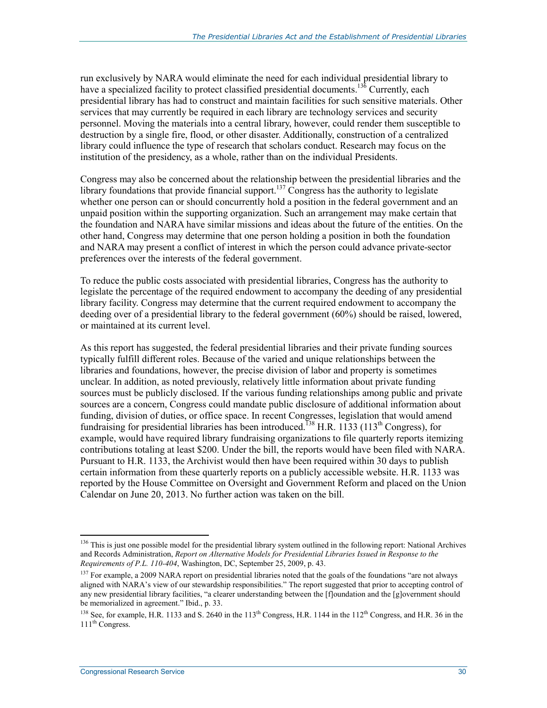run exclusively by NARA would eliminate the need for each individual presidential library to have a specialized facility to protect classified presidential documents.<sup>136</sup> Currently, each presidential library has had to construct and maintain facilities for such sensitive materials. Other services that may currently be required in each library are technology services and security personnel. Moving the materials into a central library, however, could render them susceptible to destruction by a single fire, flood, or other disaster. Additionally, construction of a centralized library could influence the type of research that scholars conduct. Research may focus on the institution of the presidency, as a whole, rather than on the individual Presidents.

Congress may also be concerned about the relationship between the presidential libraries and the library foundations that provide financial support.<sup>137</sup> Congress has the authority to legislate whether one person can or should concurrently hold a position in the federal government and an unpaid position within the supporting organization. Such an arrangement may make certain that the foundation and NARA have similar missions and ideas about the future of the entities. On the other hand, Congress may determine that one person holding a position in both the foundation and NARA may present a conflict of interest in which the person could advance private-sector preferences over the interests of the federal government.

To reduce the public costs associated with presidential libraries, Congress has the authority to legislate the percentage of the required endowment to accompany the deeding of any presidential library facility. Congress may determine that the current required endowment to accompany the deeding over of a presidential library to the federal government (60%) should be raised, lowered, or maintained at its current level.

As this report has suggested, the federal presidential libraries and their private funding sources typically fulfill different roles. Because of the varied and unique relationships between the libraries and foundations, however, the precise division of labor and property is sometimes unclear. In addition, as noted previously, relatively little information about private funding sources must be publicly disclosed. If the various funding relationships among public and private sources are a concern, Congress could mandate public disclosure of additional information about funding, division of duties, or office space. In recent Congresses, legislation that would amend fundraising for presidential libraries has been introduced.<sup>138</sup> H.R. 1133 (113<sup>th</sup> Congress), for example, would have required library fundraising organizations to file quarterly reports itemizing contributions totaling at least \$200. Under the bill, the reports would have been filed with NARA. Pursuant to H.R. 1133, the Archivist would then have been required within 30 days to publish certain information from these quarterly reports on a publicly accessible website. H.R. 1133 was reported by the House Committee on Oversight and Government Reform and placed on the Union Calendar on June 20, 2013. No further action was taken on the bill.

<sup>&</sup>lt;sup>136</sup> This is just one possible model for the presidential library system outlined in the following report: National Archives and Records Administration, *Report on Alternative Models for Presidential Libraries Issued in Response to the Requirements of P.L. 110-404*, Washington, DC, September 25, 2009, p. 43.

<sup>&</sup>lt;sup>137</sup> For example, a 2009 NARA report on presidential libraries noted that the goals of the foundations "are not always aligned with NARA's view of our stewardship responsibilities." The report suggested that prior to accepting control of any new presidential library facilities, "a clearer understanding between the [f]oundation and the [g]overnment should be memorialized in agreement." Ibid., p. 33.

<sup>&</sup>lt;sup>138</sup> See, for example, H.R. 1133 and S. 2640 in the  $113<sup>th</sup>$  Congress, H.R. 1144 in the 112<sup>th</sup> Congress, and H.R. 36 in the 111<sup>th</sup> Congress.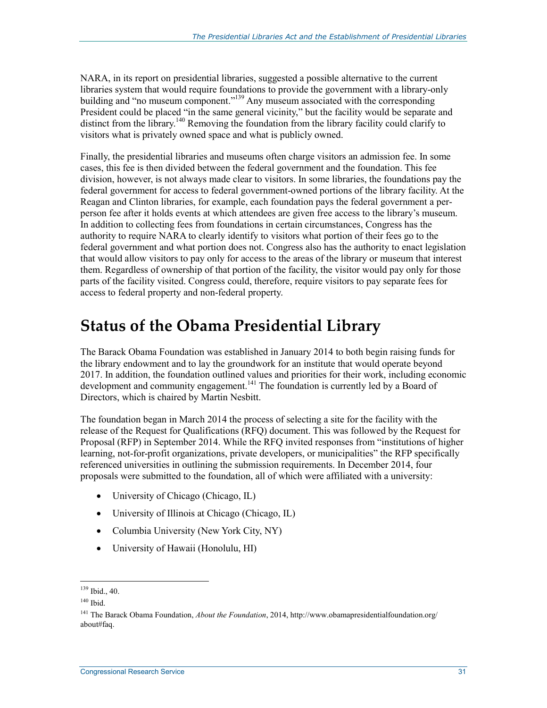NARA, in its report on presidential libraries, suggested a possible alternative to the current libraries system that would require foundations to provide the government with a library-only building and "no museum component."<sup>139</sup> Any museum associated with the corresponding President could be placed "in the same general vicinity," but the facility would be separate and distinct from the library.<sup>140</sup> Removing the foundation from the library facility could clarify to visitors what is privately owned space and what is publicly owned.

Finally, the presidential libraries and museums often charge visitors an admission fee. In some cases, this fee is then divided between the federal government and the foundation. This fee division, however, is not always made clear to visitors. In some libraries, the foundations pay the federal government for access to federal government-owned portions of the library facility. At the Reagan and Clinton libraries, for example, each foundation pays the federal government a perperson fee after it holds events at which attendees are given free access to the library's museum. In addition to collecting fees from foundations in certain circumstances, Congress has the authority to require NARA to clearly identify to visitors what portion of their fees go to the federal government and what portion does not. Congress also has the authority to enact legislation that would allow visitors to pay only for access to the areas of the library or museum that interest them. Regardless of ownership of that portion of the facility, the visitor would pay only for those parts of the facility visited. Congress could, therefore, require visitors to pay separate fees for access to federal property and non-federal property.

### **Status of the Obama Presidential Library**

The Barack Obama Foundation was established in January 2014 to both begin raising funds for the library endowment and to lay the groundwork for an institute that would operate beyond 2017. In addition, the foundation outlined values and priorities for their work, including economic development and community engagement.<sup>141</sup> The foundation is currently led by a Board of Directors, which is chaired by Martin Nesbitt.

The foundation began in March 2014 the process of selecting a site for the facility with the release of the Request for Qualifications (RFQ) document. This was followed by the Request for Proposal (RFP) in September 2014. While the RFQ invited responses from "institutions of higher learning, not-for-profit organizations, private developers, or municipalities" the RFP specifically referenced universities in outlining the submission requirements. In December 2014, four proposals were submitted to the foundation, all of which were affiliated with a university:

- University of Chicago (Chicago, IL)
- University of Illinois at Chicago (Chicago, IL)
- Columbia University (New York City, NY)
- University of Hawaii (Honolulu, HI)

 $139$  Ibid., 40.

<sup>140</sup> Ibid.

<sup>141</sup> The Barack Obama Foundation, *About the Foundation*, 2014, http://www.obamapresidentialfoundation.org/ about#faq.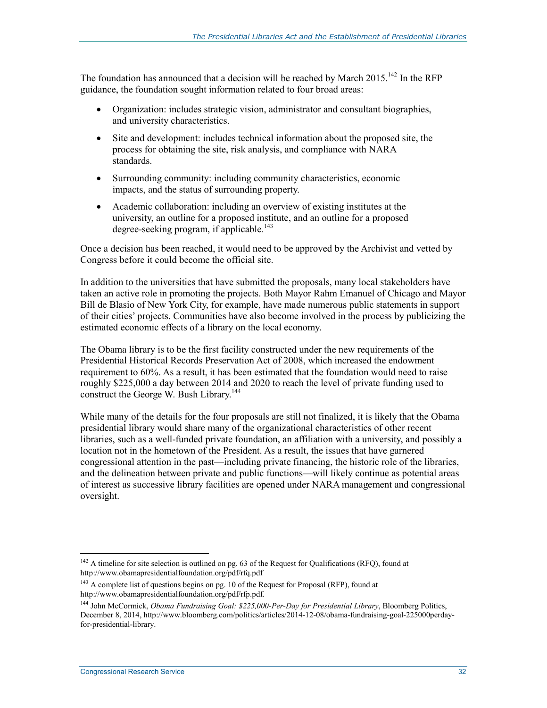The foundation has announced that a decision will be reached by March 2015.<sup>142</sup> In the RFP guidance, the foundation sought information related to four broad areas:

- Organization: includes strategic vision, administrator and consultant biographies, and university characteristics.
- Site and development: includes technical information about the proposed site, the process for obtaining the site, risk analysis, and compliance with NARA standards.
- Surrounding community: including community characteristics, economic impacts, and the status of surrounding property.
- Academic collaboration: including an overview of existing institutes at the university, an outline for a proposed institute, and an outline for a proposed degree-seeking program, if applicable.<sup>143</sup>

Once a decision has been reached, it would need to be approved by the Archivist and vetted by Congress before it could become the official site.

In addition to the universities that have submitted the proposals, many local stakeholders have taken an active role in promoting the projects. Both Mayor Rahm Emanuel of Chicago and Mayor Bill de Blasio of New York City, for example, have made numerous public statements in support of their cities' projects. Communities have also become involved in the process by publicizing the estimated economic effects of a library on the local economy.

The Obama library is to be the first facility constructed under the new requirements of the Presidential Historical Records Preservation Act of 2008, which increased the endowment requirement to 60%. As a result, it has been estimated that the foundation would need to raise roughly \$225,000 a day between 2014 and 2020 to reach the level of private funding used to construct the George W. Bush Library.<sup>144</sup>

While many of the details for the four proposals are still not finalized, it is likely that the Obama presidential library would share many of the organizational characteristics of other recent libraries, such as a well-funded private foundation, an affiliation with a university, and possibly a location not in the hometown of the President. As a result, the issues that have garnered congressional attention in the past—including private financing, the historic role of the libraries, and the delineation between private and public functions—will likely continue as potential areas of interest as successive library facilities are opened under NARA management and congressional oversight.

 $142$  A timeline for site selection is outlined on pg. 63 of the Request for Qualifications (RFQ), found at http://www.obamapresidentialfoundation.org/pdf/rfq.pdf

<sup>&</sup>lt;sup>143</sup> A complete list of questions begins on pg. 10 of the Request for Proposal (RFP), found at http://www.obamapresidentialfoundation.org/pdf/rfp.pdf.

<sup>144</sup> John McCormick, *Obama Fundraising Goal: \$225,000-Per-Day for Presidential Library*, Bloomberg Politics, December 8, 2014, http://www.bloomberg.com/politics/articles/2014-12-08/obama-fundraising-goal-225000perdayfor-presidential-library.